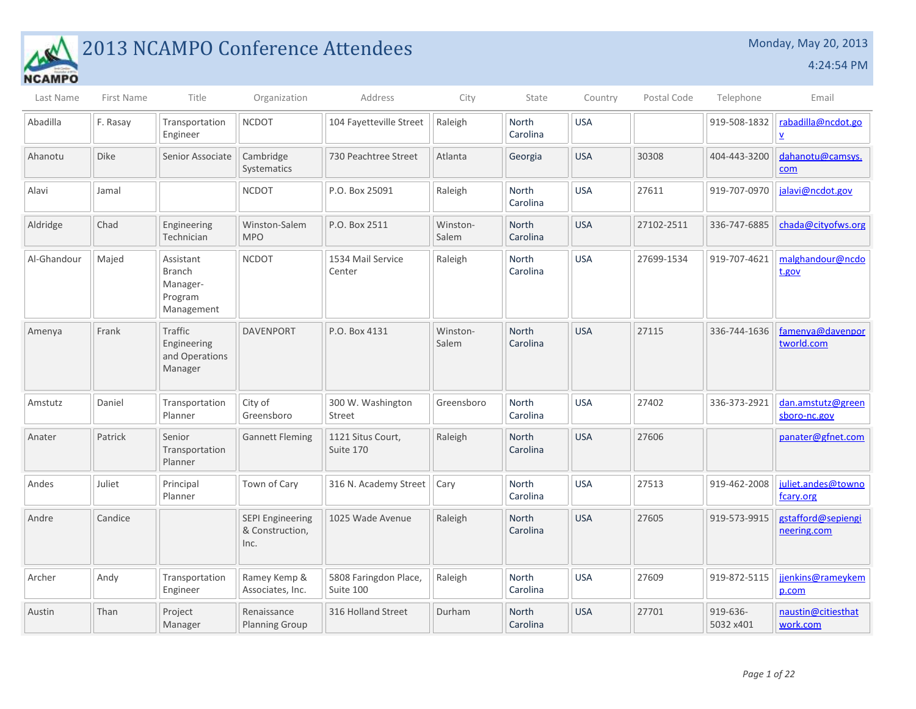

## **2013 NCAMPO Conference Attendees** Monday, May 20, 2013

| Last Name   | First Name  | Title                                                           | Organization                                       | Address                            | City              | State                    | Country    | Postal Code | Telephone             | Email                             |
|-------------|-------------|-----------------------------------------------------------------|----------------------------------------------------|------------------------------------|-------------------|--------------------------|------------|-------------|-----------------------|-----------------------------------|
| Abadilla    | F. Rasay    | Transportation<br>Engineer                                      | <b>NCDOT</b>                                       | 104 Fayetteville Street            | Raleigh           | <b>North</b><br>Carolina | <b>USA</b> |             | 919-508-1832          | rabadilla@ncdot.go<br>Δ.          |
| Ahanotu     | <b>Dike</b> | Senior Associate                                                | Cambridge<br>Systematics                           | 730 Peachtree Street               | Atlanta           | Georgia                  | <b>USA</b> | 30308       | 404-443-3200          | dahanotu@camsys.<br>com           |
| Alavi       | Jamal       |                                                                 | <b>NCDOT</b>                                       | P.O. Box 25091                     | Raleigh           | North<br>Carolina        | <b>USA</b> | 27611       | 919-707-0970          | jalavi@ncdot.gov                  |
| Aldridge    | Chad        | Engineering<br>Technician                                       | Winston-Salem<br><b>MPO</b>                        | P.O. Box 2511                      | Winston-<br>Salem | <b>North</b><br>Carolina | <b>USA</b> | 27102-2511  | 336-747-6885          | chada@cityofws.org                |
| Al-Ghandour | Majed       | Assistant<br><b>Branch</b><br>Manager-<br>Program<br>Management | <b>NCDOT</b>                                       | 1534 Mail Service<br>Center        | Raleigh           | North<br>Carolina        | <b>USA</b> | 27699-1534  | 919-707-4621          | malghandour@ncdo<br>t.gov         |
| Amenya      | Frank       | Traffic<br>Engineering<br>and Operations<br>Manager             | <b>DAVENPORT</b>                                   | P.O. Box 4131                      | Winston-<br>Salem | <b>North</b><br>Carolina | <b>USA</b> | 27115       | 336-744-1636          | famenya@davenpor<br>tworld.com    |
| Amstutz     | Daniel      | Transportation<br>Planner                                       | City of<br>Greensboro                              | 300 W. Washington<br>Street        | Greensboro        | North<br>Carolina        | <b>USA</b> | 27402       | 336-373-2921          | dan.amstutz@green<br>sboro-nc.gov |
| Anater      | Patrick     | Senior<br>Transportation<br>Planner                             | <b>Gannett Fleming</b>                             | 1121 Situs Court,<br>Suite 170     | Raleigh           | <b>North</b><br>Carolina | <b>USA</b> | 27606       |                       | panater@gfnet.com                 |
| Andes       | Juliet      | Principal<br>Planner                                            | Town of Cary                                       | 316 N. Academy Street              | Cary              | North<br>Carolina        | <b>USA</b> | 27513       | 919-462-2008          | juliet.andes@towno<br>fcary.org   |
| Andre       | Candice     |                                                                 | <b>SEPI Engineering</b><br>& Construction,<br>Inc. | 1025 Wade Avenue                   | Raleigh           | North<br>Carolina        | <b>USA</b> | 27605       | 919-573-9915          | gstafford@sepiengi<br>neering.com |
| Archer      | Andy        | Transportation<br>Engineer                                      | Ramey Kemp &<br>Associates, Inc.                   | 5808 Faringdon Place,<br>Suite 100 | Raleigh           | <b>North</b><br>Carolina | <b>USA</b> | 27609       | 919-872-5115          | jjenkins@rameykem<br>p.com        |
| Austin      | Than        | Project<br>Manager                                              | Renaissance<br><b>Planning Group</b>               | 316 Holland Street                 | Durham            | North<br>Carolina        | <b>USA</b> | 27701       | 919-636-<br>5032 x401 | naustin@citiesthat<br>work.com    |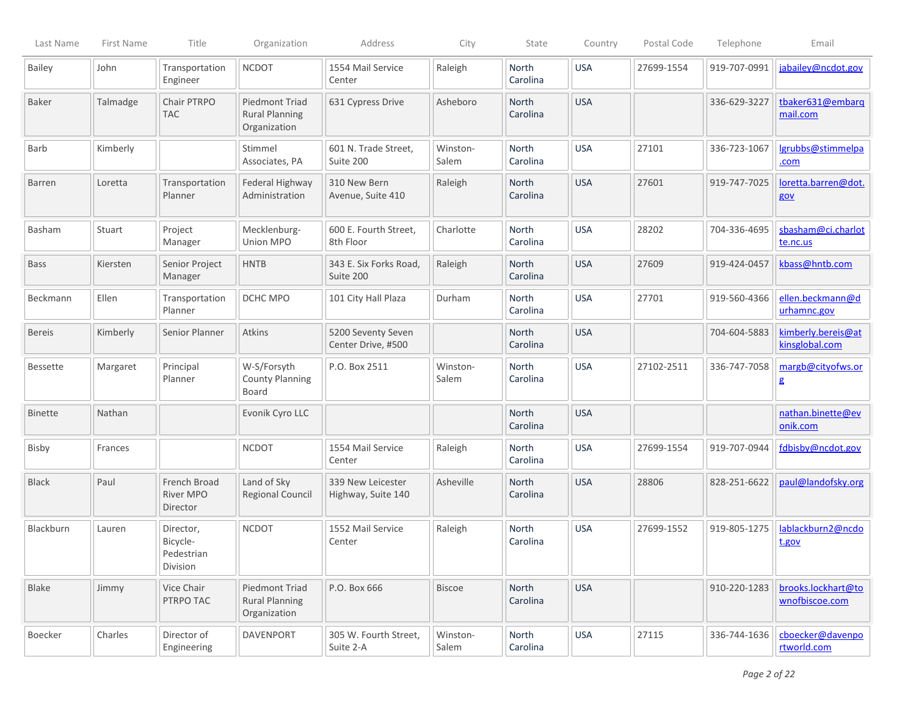| Last Name       | First Name | Title                                           | Organization                                            | Address                                  | City              | State                    | Country    | Postal Code | Telephone    | Email                                |
|-----------------|------------|-------------------------------------------------|---------------------------------------------------------|------------------------------------------|-------------------|--------------------------|------------|-------------|--------------|--------------------------------------|
| <b>Bailey</b>   | John       | Transportation<br>Engineer                      | <b>NCDOT</b>                                            | 1554 Mail Service<br>Center              | Raleigh           | North<br>Carolina        | <b>USA</b> | 27699-1554  | 919-707-0991 | jabailey@ncdot.gov                   |
| Baker           | Talmadge   | Chair PTRPO<br><b>TAC</b>                       | Piedmont Triad<br><b>Rural Planning</b><br>Organization | 631 Cypress Drive                        | Asheboro          | North<br>Carolina        | <b>USA</b> |             | 336-629-3227 | tbaker631@embarg<br>mail.com         |
| Barb            | Kimberly   |                                                 | Stimmel<br>Associates, PA                               | 601 N. Trade Street,<br>Suite 200        | Winston-<br>Salem | North<br>Carolina        | <b>USA</b> | 27101       | 336-723-1067 | lgrubbs@stimmelpa<br>.com            |
| <b>Barren</b>   | Loretta    | Transportation<br>Planner                       | Federal Highway<br>Administration                       | 310 New Bern<br>Avenue, Suite 410        | Raleigh           | North<br>Carolina        | <b>USA</b> | 27601       | 919-747-7025 | loretta.barren@dot.<br>gov           |
| Basham          | Stuart     | Project<br>Manager                              | Mecklenburg-<br>Union MPO                               | 600 E. Fourth Street,<br>8th Floor       | Charlotte         | <b>North</b><br>Carolina | <b>USA</b> | 28202       | 704-336-4695 | sbasham@ci.charlot<br>te.nc.us       |
| <b>Bass</b>     | Kiersten   | Senior Project<br>Manager                       | <b>HNTB</b>                                             | 343 E. Six Forks Road,<br>Suite 200      | Raleigh           | North<br>Carolina        | <b>USA</b> | 27609       | 919-424-0457 | kbass@hntb.com                       |
| Beckmann        | Ellen      | Transportation<br>Planner                       | DCHC MPO                                                | 101 City Hall Plaza                      | Durham            | North<br>Carolina        | <b>USA</b> | 27701       | 919-560-4366 | ellen.beckmann@d<br>urhamnc.gov      |
| <b>Bereis</b>   | Kimberly   | Senior Planner                                  | Atkins                                                  | 5200 Seventy Seven<br>Center Drive, #500 |                   | North<br>Carolina        | <b>USA</b> |             | 704-604-5883 | kimberly.bereis@at<br>kinsglobal.com |
| <b>Bessette</b> | Margaret   | Principal<br>Planner                            | W-S/Forsyth<br><b>County Planning</b><br>Board          | P.O. Box 2511                            | Winston-<br>Salem | North<br>Carolina        | <b>USA</b> | 27102-2511  | 336-747-7058 | margb@cityofws.or<br>g               |
| <b>Binette</b>  | Nathan     |                                                 | Evonik Cyro LLC                                         |                                          |                   | North<br>Carolina        | <b>USA</b> |             |              | nathan.binette@ev<br>onik.com        |
| Bisby           | Frances    |                                                 | <b>NCDOT</b>                                            | 1554 Mail Service<br>Center              | Raleigh           | <b>North</b><br>Carolina | <b>USA</b> | 27699-1554  | 919-707-0944 | fdbisby@ncdot.gov                    |
| <b>Black</b>    | Paul       | French Broad<br>River MPO<br>Director           | Land of Sky<br><b>Regional Council</b>                  | 339 New Leicester<br>Highway, Suite 140  | Asheville         | North<br>Carolina        | <b>USA</b> | 28806       | 828-251-6622 | paul@landofsky.org                   |
| Blackburn       | Lauren     | Director,<br>Bicycle-<br>Pedestrian<br>Division | <b>NCDOT</b>                                            | 1552 Mail Service<br>Center              | Raleigh           | North<br>Carolina        | <b>USA</b> | 27699-1552  | 919-805-1275 | lablackburn2@ncdo<br>t.gov           |
| Blake           | Jimmy      | Vice Chair<br>PTRPO TAC                         | Piedmont Triad<br><b>Rural Planning</b><br>Organization | P.O. Box 666                             | <b>Biscoe</b>     | North<br>Carolina        | <b>USA</b> |             | 910-220-1283 | brooks.lockhart@to<br>wnofbiscoe.com |
| Boecker         | Charles    | Director of<br>Engineering                      | DAVENPORT                                               | 305 W. Fourth Street,<br>Suite 2-A       | Winston-<br>Salem | North<br>Carolina        | <b>USA</b> | 27115       | 336-744-1636 | cboecker@davenpo<br>rtworld.com      |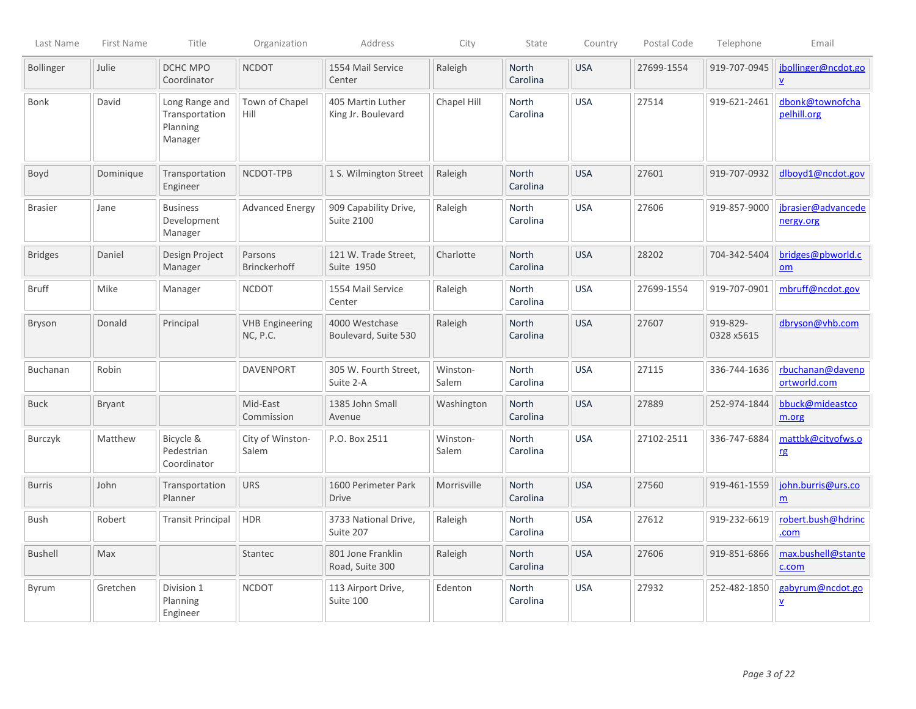| Last Name        | First Name    | Title                                                   | Organization                              | Address                                    | City              | State                    | Country    | Postal Code | Telephone              | Email                                           |
|------------------|---------------|---------------------------------------------------------|-------------------------------------------|--------------------------------------------|-------------------|--------------------------|------------|-------------|------------------------|-------------------------------------------------|
| <b>Bollinger</b> | Julie         | DCHC MPO<br>Coordinator                                 | <b>NCDOT</b>                              | 1554 Mail Service<br>Center                | Raleigh           | North<br>Carolina        | <b>USA</b> | 27699-1554  | 919-707-0945           | jbollinger@ncdot.go<br>$\underline{\mathsf{v}}$ |
| Bonk             | David         | Long Range and<br>Transportation<br>Planning<br>Manager | Town of Chapel<br>Hill                    | 405 Martin Luther<br>King Jr. Boulevard    | Chapel Hill       | North<br>Carolina        | <b>USA</b> | 27514       | 919-621-2461           | dbonk@townofcha<br>pelhill.org                  |
| Boyd             | Dominique     | Transportation<br>Engineer                              | NCDOT-TPB                                 | 1 S. Wilmington Street                     | Raleigh           | North<br>Carolina        | <b>USA</b> | 27601       | 919-707-0932           | dlboyd1@ncdot.gov                               |
| <b>Brasier</b>   | Jane          | <b>Business</b><br>Development<br>Manager               | <b>Advanced Energy</b>                    | 909 Capability Drive,<br><b>Suite 2100</b> | Raleigh           | North<br>Carolina        | <b>USA</b> | 27606       | 919-857-9000           | jbrasier@advancede<br>nergy.org                 |
| <b>Bridges</b>   | Daniel        | Design Project<br>Manager                               | Parsons<br><b>Brinckerhoff</b>            | 121 W. Trade Street,<br>Suite 1950         | Charlotte         | North<br>Carolina        | <b>USA</b> | 28202       | 704-342-5404           | bridges@pbworld.c<br>om                         |
| <b>Bruff</b>     | Mike          | Manager                                                 | <b>NCDOT</b>                              | 1554 Mail Service<br>Center                | Raleigh           | North<br>Carolina        | <b>USA</b> | 27699-1554  | 919-707-0901           | mbruff@ncdot.gov                                |
| <b>Bryson</b>    | Donald        | Principal                                               | <b>VHB Engineering</b><br><b>NC, P.C.</b> | 4000 Westchase<br>Boulevard, Suite 530     | Raleigh           | North<br>Carolina        | <b>USA</b> | 27607       | 919-829-<br>0328 x5615 | dbryson@vhb.com                                 |
| Buchanan         | Robin         |                                                         | <b>DAVENPORT</b>                          | 305 W. Fourth Street,<br>Suite 2-A         | Winston-<br>Salem | North<br>Carolina        | <b>USA</b> | 27115       | 336-744-1636           | rbuchanan@davenp<br>ortworld.com                |
| <b>Buck</b>      | <b>Bryant</b> |                                                         | Mid-East<br>Commission                    | 1385 John Small<br>Avenue                  | Washington        | North<br>Carolina        | <b>USA</b> | 27889       | 252-974-1844           | bbuck@mideastco<br>m.org                        |
| Burczyk          | Matthew       | Bicycle &<br>Pedestrian<br>Coordinator                  | City of Winston-<br>Salem                 | P.O. Box 2511                              | Winston-<br>Salem | North<br>Carolina        | <b>USA</b> | 27102-2511  | 336-747-6884           | mattbk@cityofws.o<br>rg                         |
| <b>Burris</b>    | John          | Transportation<br>Planner                               | <b>URS</b>                                | 1600 Perimeter Park<br><b>Drive</b>        | Morrisville       | <b>North</b><br>Carolina | <b>USA</b> | 27560       | 919-461-1559           | john.burris@urs.co<br>$\underline{m}$           |
| Bush             | Robert        | <b>Transit Principal</b>                                | <b>HDR</b>                                | 3733 National Drive,<br>Suite 207          | Raleigh           | <b>North</b><br>Carolina | <b>USA</b> | 27612       | 919-232-6619           | robert.bush@hdrinc<br>.com                      |
| <b>Bushell</b>   | Max           |                                                         | Stantec                                   | 801 Jone Franklin<br>Road, Suite 300       | Raleigh           | North<br>Carolina        | <b>USA</b> | 27606       | 919-851-6866           | max.bushell@stante<br>c.com                     |
| Byrum            | Gretchen      | Division 1<br>Planning<br>Engineer                      | <b>NCDOT</b>                              | 113 Airport Drive,<br>Suite 100            | Edenton           | North<br>Carolina        | <b>USA</b> | 27932       | 252-482-1850           | gabyrum@ncdot.go<br>Δ.                          |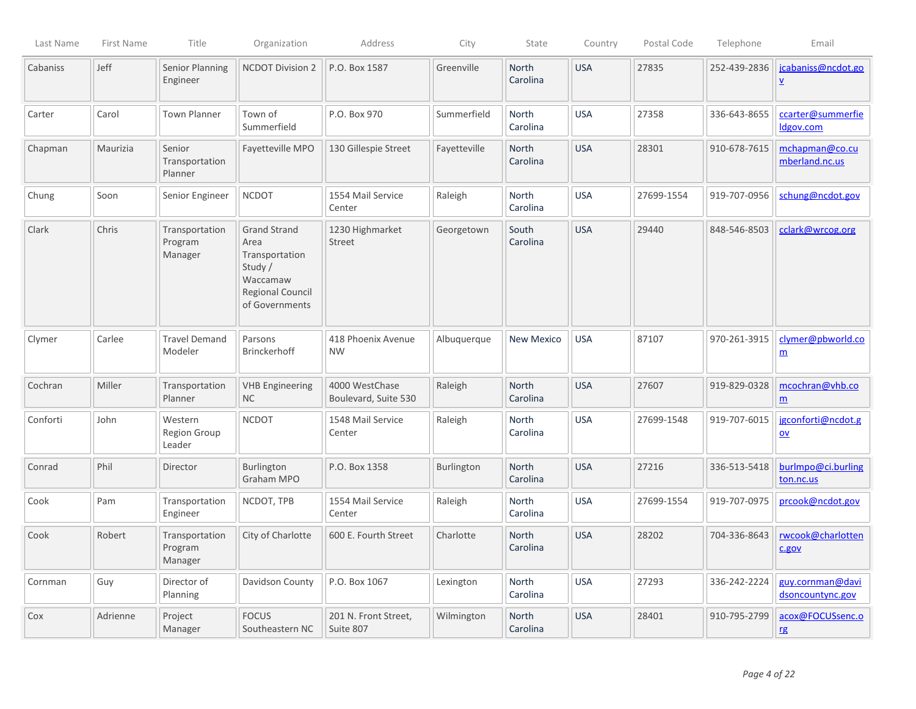| Last Name | First Name | Title                                | Organization                                                                                                      | Address                                | City         | State                    | Country    | Postal Code | Telephone    | Email                                        |
|-----------|------------|--------------------------------------|-------------------------------------------------------------------------------------------------------------------|----------------------------------------|--------------|--------------------------|------------|-------------|--------------|----------------------------------------------|
| Cabaniss  | Jeff       | Senior Planning<br>Engineer          | <b>NCDOT Division 2</b>                                                                                           | P.O. Box 1587                          | Greenville   | North<br>Carolina        | <b>USA</b> | 27835       | 252-439-2836 | jcabaniss@ncdot.go<br>$\underline{v}$        |
| Carter    | Carol      | <b>Town Planner</b>                  | Town of<br>Summerfield                                                                                            | P.O. Box 970                           | Summerfield  | <b>North</b><br>Carolina | <b>USA</b> | 27358       | 336-643-8655 | ccarter@summerfie<br>Idgov.com               |
| Chapman   | Maurizia   | Senior<br>Transportation<br>Planner  | Fayetteville MPO                                                                                                  | 130 Gillespie Street                   | Fayetteville | North<br>Carolina        | <b>USA</b> | 28301       | 910-678-7615 | mchapman@co.cu<br>mberland.nc.us             |
| Chung     | Soon       | Senior Engineer                      | <b>NCDOT</b>                                                                                                      | 1554 Mail Service<br>Center            | Raleigh      | North<br>Carolina        | <b>USA</b> | 27699-1554  | 919-707-0956 | schung@ncdot.gov                             |
| Clark     | Chris      | Transportation<br>Program<br>Manager | <b>Grand Strand</b><br>Area<br>Transportation<br>Study /<br>Waccamaw<br><b>Regional Council</b><br>of Governments | 1230 Highmarket<br>Street              | Georgetown   | South<br>Carolina        | <b>USA</b> | 29440       | 848-546-8503 | cclark@wrcog.org                             |
| Clymer    | Carlee     | <b>Travel Demand</b><br>Modeler      | Parsons<br><b>Brinckerhoff</b>                                                                                    | 418 Phoenix Avenue<br><b>NW</b>        | Albuquerque  | <b>New Mexico</b>        | <b>USA</b> | 87107       | 970-261-3915 | clymer@pbworld.co<br>$\underline{m}$         |
| Cochran   | Miller     | Transportation<br>Planner            | <b>VHB Engineering</b><br>NC                                                                                      | 4000 WestChase<br>Boulevard, Suite 530 | Raleigh      | North<br>Carolina        | <b>USA</b> | 27607       | 919-829-0328 | mcochran@vhb.co<br>$\underline{m}$           |
| Conforti  | John       | Western<br>Region Group<br>Leader    | <b>NCDOT</b>                                                                                                      | 1548 Mail Service<br>Center            | Raleigh      | North<br>Carolina        | <b>USA</b> | 27699-1548  | 919-707-6015 | jgconforti@ncdot.g<br>$\mathsf{O}\mathsf{V}$ |
| Conrad    | Phil       | Director                             | Burlington<br>Graham MPO                                                                                          | P.O. Box 1358                          | Burlington   | North<br>Carolina        | <b>USA</b> | 27216       | 336-513-5418 | burlmpo@ci.burling<br>ton.nc.us              |
| Cook      | Pam        | Transportation<br>Engineer           | NCDOT, TPB                                                                                                        | 1554 Mail Service<br>Center            | Raleigh      | North<br>Carolina        | <b>USA</b> | 27699-1554  | 919-707-0975 | prcook@ncdot.gov                             |
| Cook      | Robert     | Transportation<br>Program<br>Manager | City of Charlotte                                                                                                 | 600 E. Fourth Street                   | Charlotte    | North<br>Carolina        | <b>USA</b> | 28202       | 704-336-8643 | rwcook@charlotten<br>c.gov                   |
| Cornman   | Guy        | Director of<br>Planning              | Davidson County                                                                                                   | P.O. Box 1067                          | Lexington    | North<br>Carolina        | <b>USA</b> | 27293       | 336-242-2224 | guy.cornman@davi<br>dsoncountync.gov         |
| Cox       | Adrienne   | Project<br>Manager                   | <b>FOCUS</b><br>Southeastern NC                                                                                   | 201 N. Front Street,<br>Suite 807      | Wilmington   | North<br>Carolina        | <b>USA</b> | 28401       | 910-795-2799 | acox@FOCUSsenc.o<br><b>rg</b>                |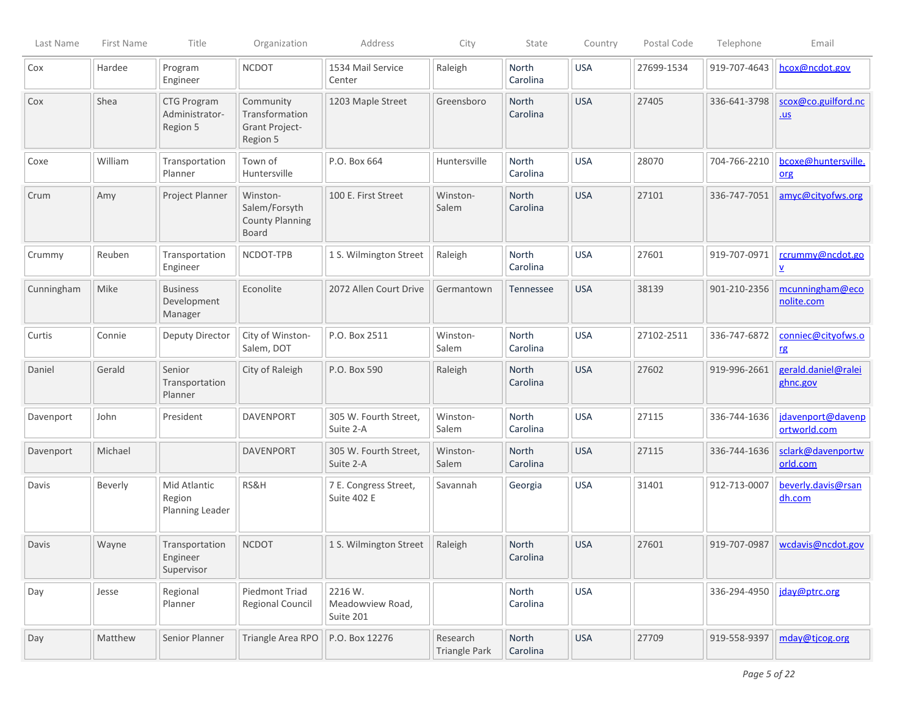| Last Name  | First Name | Title                                     | Organization                                                        | Address                                  | City                      | State                    | Country    | Postal Code | Telephone    | Email                                        |
|------------|------------|-------------------------------------------|---------------------------------------------------------------------|------------------------------------------|---------------------------|--------------------------|------------|-------------|--------------|----------------------------------------------|
| Cox        | Hardee     | Program<br>Engineer                       | <b>NCDOT</b>                                                        | 1534 Mail Service<br>Center              | Raleigh                   | North<br>Carolina        | <b>USA</b> | 27699-1534  | 919-707-4643 | hcox@ncdot.gov                               |
| Cox        | Shea       | CTG Program<br>Administrator-<br>Region 5 | Community<br>Transformation<br><b>Grant Project-</b><br>Region 5    | 1203 Maple Street                        | Greensboro                | North<br>Carolina        | <b>USA</b> | 27405       | 336-641-3798 | scox@co.guilford.nc<br>$u$                   |
| Coxe       | William    | Transportation<br>Planner                 | Town of<br>Huntersville                                             | P.O. Box 664                             | Huntersville              | North<br>Carolina        | <b>USA</b> | 28070       | 704-766-2210 | bcoxe@huntersville.<br>org                   |
| Crum       | Amy        | Project Planner                           | Winston-<br>Salem/Forsyth<br><b>County Planning</b><br><b>Board</b> | 100 E. First Street                      | Winston-<br>Salem         | North<br>Carolina        | <b>USA</b> | 27101       | 336-747-7051 | amyc@cityofws.org                            |
| Crummy     | Reuben     | Transportation<br>Engineer                | NCDOT-TPB                                                           | 1 S. Wilmington Street                   | Raleigh                   | North<br>Carolina        | <b>USA</b> | 27601       | 919-707-0971 | rcrummy@ncdot.go<br>$\underline{\mathsf{v}}$ |
| Cunningham | Mike       | <b>Business</b><br>Development<br>Manager | Econolite                                                           | 2072 Allen Court Drive                   | Germantown                | Tennessee                | <b>USA</b> | 38139       | 901-210-2356 | mcunningham@eco<br>nolite.com                |
| Curtis     | Connie     | Deputy Director                           | City of Winston-<br>Salem, DOT                                      | P.O. Box 2511                            | Winston-<br>Salem         | North<br>Carolina        | <b>USA</b> | 27102-2511  | 336-747-6872 | conniec@cityofws.o<br>rg                     |
| Daniel     | Gerald     | Senior<br>Transportation<br>Planner       | City of Raleigh                                                     | P.O. Box 590                             | Raleigh                   | North<br>Carolina        | <b>USA</b> | 27602       | 919-996-2661 | gerald.daniel@ralei<br>ghnc.gov              |
| Davenport  | John       | President                                 | <b>DAVENPORT</b>                                                    | 305 W. Fourth Street,<br>Suite 2-A       | Winston-<br>Salem         | North<br>Carolina        | <b>USA</b> | 27115       | 336-744-1636 | jdavenport@davenp<br>ortworld.com            |
| Davenport  | Michael    |                                           | <b>DAVENPORT</b>                                                    | 305 W. Fourth Street,<br>Suite 2-A       | Winston-<br>Salem         | <b>North</b><br>Carolina | <b>USA</b> | 27115       | 336-744-1636 | sclark@davenportw<br>orld.com                |
| Davis      | Beverly    | Mid Atlantic<br>Region<br>Planning Leader | RS&H                                                                | 7 E. Congress Street,<br>Suite 402 E     | Savannah                  | Georgia                  | <b>USA</b> | 31401       | 912-713-0007 | beverly.davis@rsan<br>dh.com                 |
| Davis      | Wayne      | Transportation<br>Engineer<br>Supervisor  | <b>NCDOT</b>                                                        | 1 S. Wilmington Street                   | Raleigh                   | <b>North</b><br>Carolina | <b>USA</b> | 27601       | 919-707-0987 | wcdavis@ncdot.gov                            |
| Day        | Jesse      | Regional<br>Planner                       | Piedmont Triad<br><b>Regional Council</b>                           | 2216 W.<br>Meadowview Road,<br>Suite 201 |                           | North<br>Carolina        | <b>USA</b> |             | 336-294-4950 | jday@ptrc.org                                |
| Day        | Matthew    | Senior Planner                            | Triangle Area RPO                                                   | P.O. Box 12276                           | Research<br>Triangle Park | North<br>Carolina        | <b>USA</b> | 27709       | 919-558-9397 | mday@tjcog.org                               |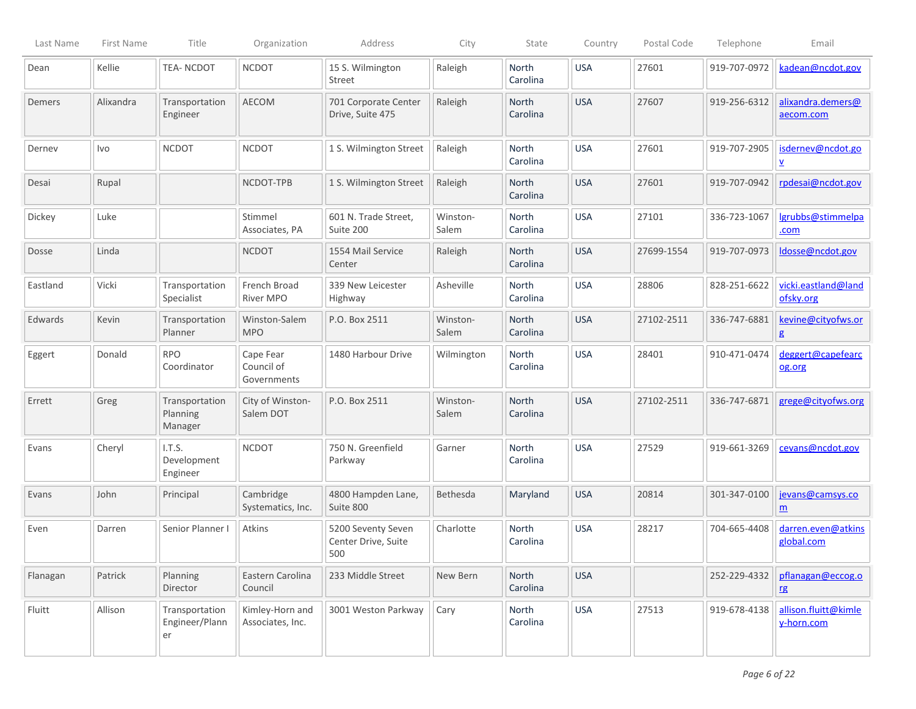| Last Name | First Name | Title                                  | Organization                           | Address                                          | City              | State                    | Country    | Postal Code | Telephone    | Email                               |
|-----------|------------|----------------------------------------|----------------------------------------|--------------------------------------------------|-------------------|--------------------------|------------|-------------|--------------|-------------------------------------|
| Dean      | Kellie     | <b>TEA-NCDOT</b>                       | <b>NCDOT</b>                           | 15 S. Wilmington<br>Street                       | Raleigh           | North<br>Carolina        | <b>USA</b> | 27601       | 919-707-0972 | kadean@ncdot.gov                    |
| Demers    | Alixandra  | Transportation<br>Engineer             | AECOM                                  | 701 Corporate Center<br>Drive, Suite 475         | Raleigh           | North<br>Carolina        | <b>USA</b> | 27607       | 919-256-6312 | alixandra.demers@<br>aecom.com      |
| Dernev    | Ivo        | <b>NCDOT</b>                           | <b>NCDOT</b>                           | 1 S. Wilmington Street                           | Raleigh           | North<br>Carolina        | <b>USA</b> | 27601       | 919-707-2905 | isdernev@ncdot.go<br>⊻              |
| Desai     | Rupal      |                                        | NCDOT-TPB                              | 1 S. Wilmington Street                           | Raleigh           | North<br>Carolina        | <b>USA</b> | 27601       | 919-707-0942 | rpdesai@ncdot.gov                   |
| Dickey    | Luke       |                                        | Stimmel<br>Associates, PA              | 601 N. Trade Street,<br>Suite 200                | Winston-<br>Salem | North<br>Carolina        | <b>USA</b> | 27101       | 336-723-1067 | lgrubbs@stimmelpa<br>.com           |
| Dosse     | Linda      |                                        | <b>NCDOT</b>                           | 1554 Mail Service<br>Center                      | Raleigh           | North<br>Carolina        | <b>USA</b> | 27699-1554  | 919-707-0973 | ldosse@ncdot.gov                    |
| Eastland  | Vicki      | Transportation<br>Specialist           | French Broad<br>River MPO              | 339 New Leicester<br>Highway                     | Asheville         | North<br>Carolina        | <b>USA</b> | 28806       | 828-251-6622 | vicki.eastland@land<br>ofsky.org    |
| Edwards   | Kevin      | Transportation<br>Planner              | Winston-Salem<br><b>MPO</b>            | P.O. Box 2511                                    | Winston-<br>Salem | North<br>Carolina        | <b>USA</b> | 27102-2511  | 336-747-6881 | kevine@cityofws.or<br>g             |
| Eggert    | Donald     | <b>RPO</b><br>Coordinator              | Cape Fear<br>Council of<br>Governments | 1480 Harbour Drive                               | Wilmington        | North<br>Carolina        | <b>USA</b> | 28401       | 910-471-0474 | deggert@capefearc<br>og.org         |
| Errett    | Greg       | Transportation<br>Planning<br>Manager  | City of Winston-<br>Salem DOT          | P.O. Box 2511                                    | Winston-<br>Salem | <b>North</b><br>Carolina | <b>USA</b> | 27102-2511  | 336-747-6871 | grege@cityofws.org                  |
| Evans     | Cheryl     | I.T.S.<br>Development<br>Engineer      | <b>NCDOT</b>                           | 750 N. Greenfield<br>Parkway                     | Garner            | <b>North</b><br>Carolina | <b>USA</b> | 27529       | 919-661-3269 | cevans@ncdot.gov                    |
| Evans     | John       | Principal                              | Cambridge<br>Systematics, Inc.         | 4800 Hampden Lane,<br>Suite 800                  | Bethesda          | Maryland                 | <b>USA</b> | 20814       | 301-347-0100 | jevans@camsys.co<br>$\underline{m}$ |
| Even      | Darren     | Senior Planner I                       | Atkins                                 | 5200 Seventy Seven<br>Center Drive, Suite<br>500 | Charlotte         | North<br>Carolina        | <b>USA</b> | 28217       | 704-665-4408 | darren.even@atkins<br>global.com    |
| Flanagan  | Patrick    | Planning<br>Director                   | Eastern Carolina<br>Council            | 233 Middle Street                                | New Bern          | North<br>Carolina        | <b>USA</b> |             | 252-229-4332 | pflanagan@eccog.o<br><b>rg</b>      |
| Fluitt    | Allison    | Transportation<br>Engineer/Plann<br>er | Kimley-Horn and<br>Associates, Inc.    | 3001 Weston Parkway                              | Cary              | North<br>Carolina        | <b>USA</b> | 27513       | 919-678-4138 | allison.fluitt@kimle<br>y-horn.com  |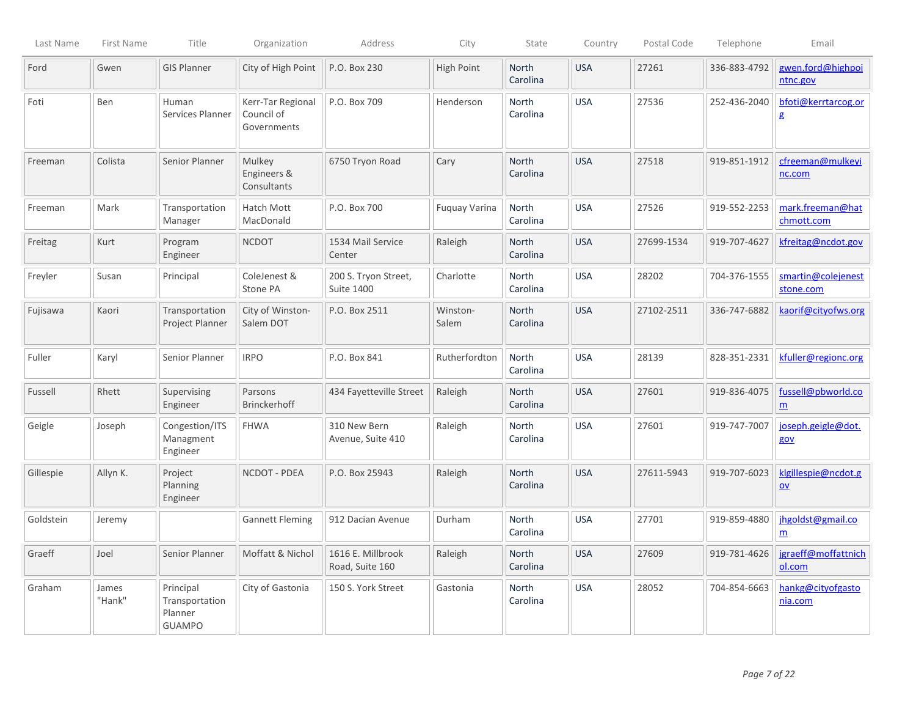| Last Name | First Name      | Title                                                   | Organization                                   | Address                                   | City              | State                    | Country    | Postal Code | Telephone    | Email                                 |
|-----------|-----------------|---------------------------------------------------------|------------------------------------------------|-------------------------------------------|-------------------|--------------------------|------------|-------------|--------------|---------------------------------------|
| Ford      | Gwen            | <b>GIS Planner</b>                                      | City of High Point                             | P.O. Box 230                              | <b>High Point</b> | <b>North</b><br>Carolina | <b>USA</b> | 27261       | 336-883-4792 | gwen.ford@highpoi<br>ntnc.gov         |
| Foti      | Ben             | Human<br>Services Planner                               | Kerr-Tar Regional<br>Council of<br>Governments | P.O. Box 709                              | Henderson         | North<br>Carolina        | <b>USA</b> | 27536       | 252-436-2040 | bfoti@kerrtarcog.or<br>g              |
| Freeman   | Colista         | Senior Planner                                          | Mulkey<br>Engineers &<br>Consultants           | 6750 Tryon Road                           | Cary              | <b>North</b><br>Carolina | <b>USA</b> | 27518       | 919-851-1912 | cfreeman@mulkeyi<br>nc.com            |
| Freeman   | Mark            | Transportation<br>Manager                               | Hatch Mott<br>MacDonald                        | P.O. Box 700                              | Fuquay Varina     | North<br>Carolina        | <b>USA</b> | 27526       | 919-552-2253 | mark.freeman@hat<br>chmott.com        |
| Freitag   | Kurt            | Program<br>Engineer                                     | <b>NCDOT</b>                                   | 1534 Mail Service<br>Center               | Raleigh           | North<br>Carolina        | <b>USA</b> | 27699-1534  | 919-707-4627 | kfreitag@ncdot.gov                    |
| Freyler   | Susan           | Principal                                               | ColeJenest &<br>Stone PA                       | 200 S. Tryon Street,<br><b>Suite 1400</b> | Charlotte         | <b>North</b><br>Carolina | <b>USA</b> | 28202       | 704-376-1555 | smartin@colejenest<br>stone.com       |
| Fujisawa  | Kaori           | Transportation<br>Project Planner                       | City of Winston-<br>Salem DOT                  | P.O. Box 2511                             | Winston-<br>Salem | <b>North</b><br>Carolina | <b>USA</b> | 27102-2511  | 336-747-6882 | kaorif@cityofws.org                   |
| Fuller    | Karyl           | Senior Planner                                          | <b>IRPO</b>                                    | P.O. Box 841                              | Rutherfordton     | North<br>Carolina        | <b>USA</b> | 28139       | 828-351-2331 | kfuller@regionc.org                   |
| Fussell   | Rhett           | Supervising<br>Engineer                                 | Parsons<br><b>Brinckerhoff</b>                 | 434 Fayetteville Street                   | Raleigh           | North<br>Carolina        | <b>USA</b> | 27601       | 919-836-4075 | fussell@pbworld.co<br>$\underline{m}$ |
| Geigle    | Joseph          | Congestion/ITS<br>Managment<br>Engineer                 | <b>FHWA</b>                                    | 310 New Bern<br>Avenue, Suite 410         | Raleigh           | <b>North</b><br>Carolina | <b>USA</b> | 27601       | 919-747-7007 | joseph.geigle@dot.<br>gov             |
| Gillespie | Allyn K.        | Project<br>Planning<br>Engineer                         | NCDOT - PDEA                                   | P.O. Box 25943                            | Raleigh           | North<br>Carolina        | <b>USA</b> | 27611-5943  | 919-707-6023 | klgillespie@ncdot.g<br>$ov$           |
| Goldstein | Jeremy          |                                                         | <b>Gannett Fleming</b>                         | 912 Dacian Avenue                         | Durham            | <b>North</b><br>Carolina | <b>USA</b> | 27701       | 919-859-4880 | jhgoldst@gmail.co<br>m                |
| Graeff    | Joel            | Senior Planner                                          | Moffatt & Nichol                               | 1616 E. Millbrook<br>Road, Suite 160      | Raleigh           | North<br>Carolina        | <b>USA</b> | 27609       | 919-781-4626 | jgraeff@moffattnich<br>ol.com         |
| Graham    | James<br>"Hank" | Principal<br>Transportation<br>Planner<br><b>GUAMPO</b> | City of Gastonia                               | 150 S. York Street                        | Gastonia          | North<br>Carolina        | <b>USA</b> | 28052       | 704-854-6663 | hankg@cityofgasto<br>nia.com          |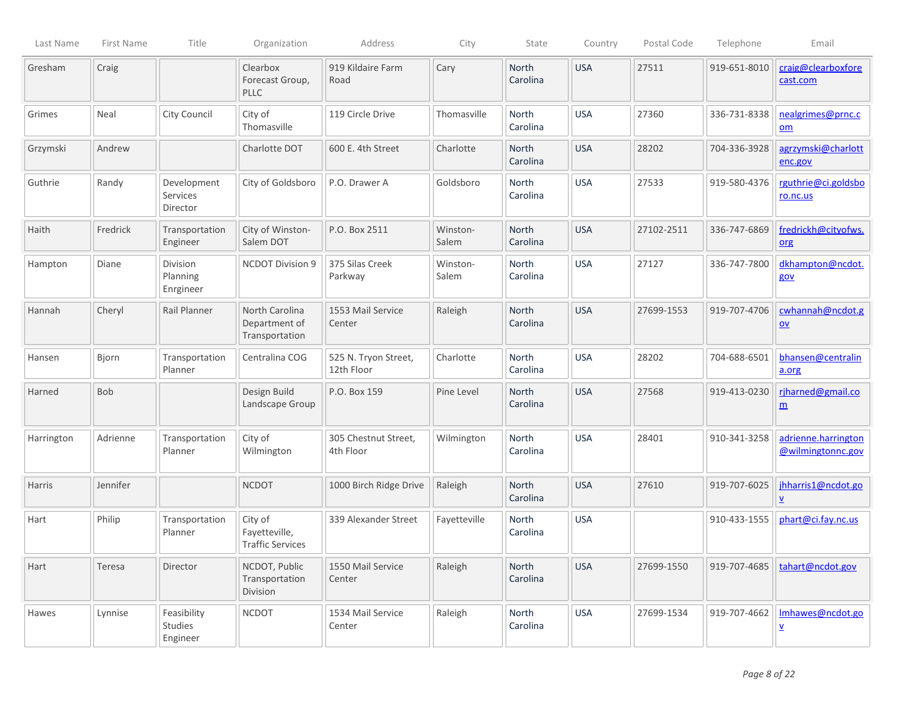| Last Name  | First Name | Title                               | Organization                                        | Address                            | City              | State                    | Country    | Postal Code | Telephone    | Email                                          |
|------------|------------|-------------------------------------|-----------------------------------------------------|------------------------------------|-------------------|--------------------------|------------|-------------|--------------|------------------------------------------------|
| Gresham    | Craig      |                                     | Clearbox<br>Forecast Group,<br><b>PLLC</b>          | 919 Kildaire Farm<br>Road          | Cary              | North<br>Carolina        | <b>USA</b> | 27511       | 919-651-8010 | craig@clearboxfore<br>cast.com                 |
| Grimes     | Neal       | City Council                        | City of<br>Thomasville                              | 119 Circle Drive                   | Thomasville       | North<br>Carolina        | <b>USA</b> | 27360       | 336-731-8338 | nealgrimes@prnc.c<br>om                        |
| Grzymski   | Andrew     |                                     | Charlotte DOT                                       | 600 E. 4th Street                  | Charlotte         | <b>North</b><br>Carolina | <b>USA</b> | 28202       | 704-336-3928 | agrzymski@charlott<br>enc.gov                  |
| Guthrie    | Randy      | Development<br>Services<br>Director | City of Goldsboro                                   | P.O. Drawer A                      | Goldsboro         | <b>North</b><br>Carolina | <b>USA</b> | 27533       | 919-580-4376 | rguthrie@ci.goldsbo<br>ro.nc.us                |
| Haith      | Fredrick   | Transportation<br>Engineer          | City of Winston-<br>Salem DOT                       | P.O. Box 2511                      | Winston-<br>Salem | <b>North</b><br>Carolina | <b>USA</b> | 27102-2511  | 336-747-6869 | fredrickh@cityofws.<br>org                     |
| Hampton    | Diane      | Division<br>Planning<br>Enrgineer   | <b>NCDOT Division 9</b>                             | 375 Silas Creek<br>Parkway         | Winston-<br>Salem | North<br>Carolina        | <b>USA</b> | 27127       | 336-747-7800 | dkhampton@ncdot.<br>gov                        |
| Hannah     | Cheryl     | Rail Planner                        | North Carolina<br>Department of<br>Transportation   | 1553 Mail Service<br>Center        | Raleigh           | <b>North</b><br>Carolina | <b>USA</b> | 27699-1553  | 919-707-4706 | cwhannah@ncdot.g<br>$\underline{\mathsf{ov}}$  |
| Hansen     | Bjorn      | Transportation<br>Planner           | Centralina COG                                      | 525 N. Tryon Street,<br>12th Floor | Charlotte         | North<br>Carolina        | <b>USA</b> | 28202       | 704-688-6501 | bhansen@centralin<br>a.org                     |
| Harned     | Bob        |                                     | Design Build<br>Landscape Group                     | P.O. Box 159                       | Pine Level        | North<br>Carolina        | <b>USA</b> | 27568       | 919-413-0230 | riharned@gmail.co<br>$\underline{m}$           |
| Harrington | Adrienne   | Transportation<br>Planner           | City of<br>Wilmington                               | 305 Chestnut Street,<br>4th Floor  | Wilmington        | North<br>Carolina        | <b>USA</b> | 28401       | 910-341-3258 | adrienne.harrington<br>@wilmingtonnc.gov       |
| Harris     | Jennifer   |                                     | <b>NCDOT</b>                                        | 1000 Birch Ridge Drive             | Raleigh           | North<br>Carolina        | <b>USA</b> | 27610       | 919-707-6025 | jhharris1@ncdot.go<br>$\underline{\mathsf{v}}$ |
| Hart       | Philip     | Transportation<br>Planner           | City of<br>Fayetteville,<br><b>Traffic Services</b> | 339 Alexander Street               | Fayetteville      | <b>North</b><br>Carolina | <b>USA</b> |             | 910-433-1555 | phart@ci.fay.nc.us                             |
| Hart       | Teresa     | Director                            | NCDOT, Public<br>Transportation<br>Division         | 1550 Mail Service<br>Center        | Raleigh           | North<br>Carolina        | <b>USA</b> | 27699-1550  | 919-707-4685 | tahart@ncdot.gov                               |
| Hawes      | Lynnise    | Feasibility<br>Studies<br>Engineer  | <b>NCDOT</b>                                        | 1534 Mail Service<br>Center        | Raleigh           | North<br>Carolina        | <b>USA</b> | 27699-1534  | 919-707-4662 | Imhawes@ncdot.go<br>⊻                          |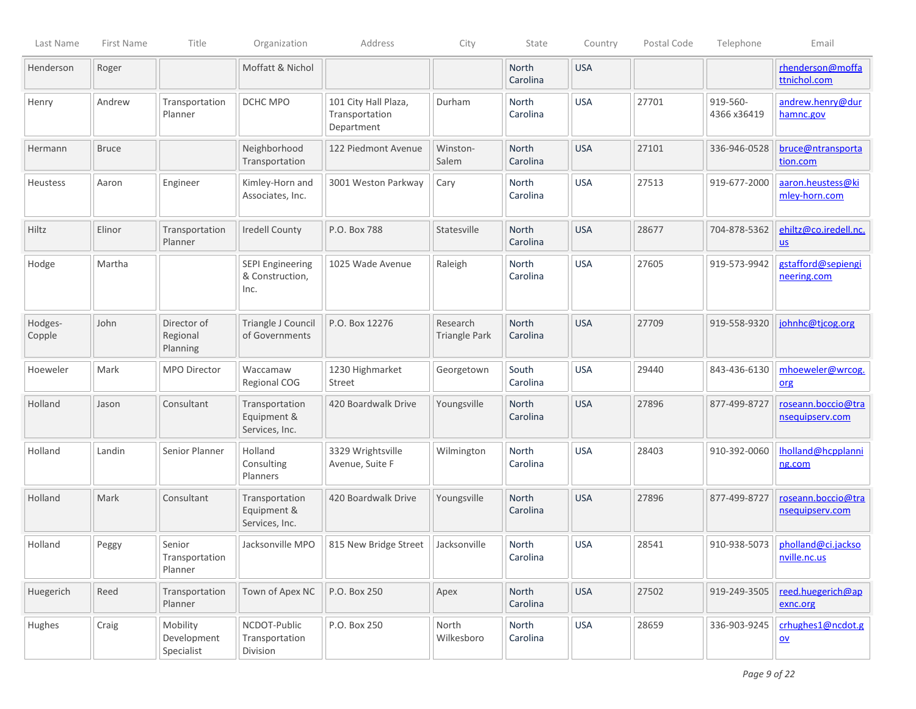| Last Name         | First Name   | Title                                 | Organization                                       | Address                                              | City                             | State                    | Country    | Postal Code | Telephone               | Email                                          |
|-------------------|--------------|---------------------------------------|----------------------------------------------------|------------------------------------------------------|----------------------------------|--------------------------|------------|-------------|-------------------------|------------------------------------------------|
| Henderson         | Roger        |                                       | Moffatt & Nichol                                   |                                                      |                                  | North<br>Carolina        | <b>USA</b> |             |                         | rhenderson@moffa<br>ttnichol.com               |
| Henry             | Andrew       | Transportation<br>Planner             | DCHC MPO                                           | 101 City Hall Plaza,<br>Transportation<br>Department | Durham                           | North<br>Carolina        | <b>USA</b> | 27701       | 919-560-<br>4366 x36419 | andrew.henry@dur<br>hamnc.gov                  |
| Hermann           | <b>Bruce</b> |                                       | Neighborhood<br>Transportation                     | 122 Piedmont Avenue                                  | Winston-<br>Salem                | <b>North</b><br>Carolina | <b>USA</b> | 27101       | 336-946-0528            | bruce@ntransporta<br>tion.com                  |
| <b>Heustess</b>   | Aaron        | Engineer                              | Kimley-Horn and<br>Associates, Inc.                | 3001 Weston Parkway                                  | Cary                             | North<br>Carolina        | <b>USA</b> | 27513       | 919-677-2000            | aaron.heustess@ki<br>mley-horn.com             |
| Hiltz             | Elinor       | Transportation<br>Planner             | <b>Iredell County</b>                              | P.O. Box 788                                         | Statesville                      | <b>North</b><br>Carolina | <b>USA</b> | 28677       | 704-878-5362            | ehiltz@co.iredell.nc.<br>$u$                   |
| Hodge             | Martha       |                                       | <b>SEPI Engineering</b><br>& Construction,<br>Inc. | 1025 Wade Avenue                                     | Raleigh                          | North<br>Carolina        | <b>USA</b> | 27605       | 919-573-9942            | gstafford@sepiengi<br>neering.com              |
| Hodges-<br>Copple | John         | Director of<br>Regional<br>Planning   | Triangle J Council<br>of Governments               | P.O. Box 12276                                       | Research<br><b>Triangle Park</b> | <b>North</b><br>Carolina | <b>USA</b> | 27709       | 919-558-9320            | johnhc@tjcog.org                               |
| Hoeweler          | Mark         | MPO Director                          | Waccamaw<br>Regional COG                           | 1230 Highmarket<br>Street                            | Georgetown                       | South<br>Carolina        | <b>USA</b> | 29440       | 843-436-6130            | mhoeweler@wrcog.<br>org                        |
| Holland           | Jason        | Consultant                            | Transportation<br>Equipment &<br>Services, Inc.    | 420 Boardwalk Drive                                  | Youngsville                      | North<br>Carolina        | <b>USA</b> | 27896       | 877-499-8727            | roseann.boccio@tra<br>nsequipserv.com          |
| Holland           | Landin       | Senior Planner                        | Holland<br>Consulting<br>Planners                  | 3329 Wrightsville<br>Avenue, Suite F                 | Wilmington                       | <b>North</b><br>Carolina | <b>USA</b> | 28403       | 910-392-0060            | Iholland@hcpplanni<br>ng.com                   |
| Holland           | Mark         | Consultant                            | Transportation<br>Equipment &<br>Services, Inc.    | 420 Boardwalk Drive                                  | Youngsville                      | North<br>Carolina        | <b>USA</b> | 27896       | 877-499-8727            | roseann.boccio@tra<br>nsequipserv.com          |
| Holland           | Peggy        | Senior<br>Transportation<br>Planner   | Jacksonville MPO                                   | 815 New Bridge Street                                | Jacksonville                     | North<br>Carolina        | <b>USA</b> | 28541       | 910-938-5073            | pholland@ci.jackso<br>nville.nc.us             |
| Huegerich         | Reed         | Transportation<br>Planner             | Town of Apex NC                                    | P.O. Box 250                                         | Apex                             | North<br>Carolina        | <b>USA</b> | 27502       | 919-249-3505            | reed.huegerich@ap<br>exnc.org                  |
| Hughes            | Craig        | Mobility<br>Development<br>Specialist | NCDOT-Public<br>Transportation<br>Division         | P.O. Box 250                                         | North<br>Wilkesboro              | North<br>Carolina        | <b>USA</b> | 28659       | 336-903-9245            | crhughes1@ncdot.g<br>$\underline{\mathsf{ov}}$ |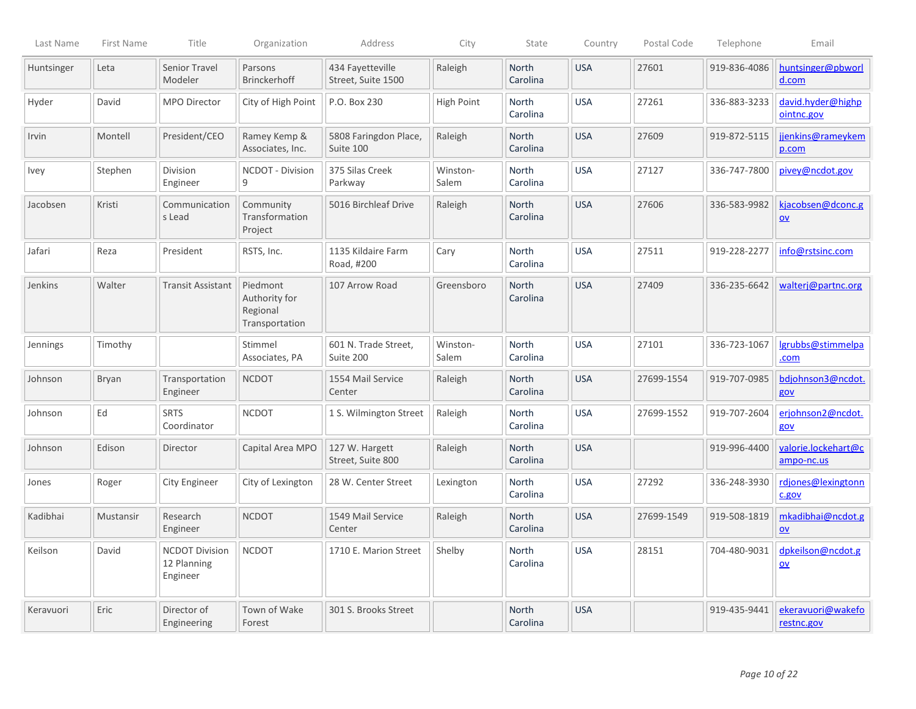| Last Name   | First Name | Title                                            | Organization                                            | Address                                | City              | State                    | Country    | Postal Code | Telephone    | Email                                          |
|-------------|------------|--------------------------------------------------|---------------------------------------------------------|----------------------------------------|-------------------|--------------------------|------------|-------------|--------------|------------------------------------------------|
| Huntsinger  | Leta       | <b>Senior Travel</b><br>Modeler                  | Parsons<br>Brinckerhoff                                 | 434 Fayetteville<br>Street, Suite 1500 | Raleigh           | <b>North</b><br>Carolina | <b>USA</b> | 27601       | 919-836-4086 | huntsinger@pbworl<br>d.com                     |
| Hyder       | David      | <b>MPO Director</b>                              | City of High Point                                      | P.O. Box 230                           | High Point        | North<br>Carolina        | <b>USA</b> | 27261       | 336-883-3233 | david.hyder@highp<br>ointnc.gov                |
| Irvin       | Montell    | President/CEO                                    | Ramey Kemp &<br>Associates, Inc.                        | 5808 Faringdon Place,<br>Suite 100     | Raleigh           | North<br>Carolina        | <b>USA</b> | 27609       | 919-872-5115 | jjenkins@rameykem<br>p.com                     |
| <i>lvey</i> | Stephen    | Division<br>Engineer                             | NCDOT - Division<br>9                                   | 375 Silas Creek<br>Parkway             | Winston-<br>Salem | <b>North</b><br>Carolina | <b>USA</b> | 27127       | 336-747-7800 | pivey@ncdot.gov                                |
| Jacobsen    | Kristi     | Communication<br>s Lead                          | Community<br>Transformation<br>Project                  | 5016 Birchleaf Drive                   | Raleigh           | North<br>Carolina        | <b>USA</b> | 27606       | 336-583-9982 | kjacobsen@dconc.g<br>$ov$                      |
| Jafari      | Reza       | President                                        | RSTS, Inc.                                              | 1135 Kildaire Farm<br>Road, #200       | Cary              | <b>North</b><br>Carolina | <b>USA</b> | 27511       | 919-228-2277 | info@rstsinc.com                               |
| Jenkins     | Walter     | <b>Transit Assistant</b>                         | Piedmont<br>Authority for<br>Regional<br>Transportation | 107 Arrow Road                         | Greensboro        | <b>North</b><br>Carolina | <b>USA</b> | 27409       | 336-235-6642 | walterj@partnc.org                             |
| Jennings    | Timothy    |                                                  | Stimmel<br>Associates, PA                               | 601 N. Trade Street,<br>Suite 200      | Winston-<br>Salem | <b>North</b><br>Carolina | <b>USA</b> | 27101       | 336-723-1067 | lgrubbs@stimmelpa<br>.com                      |
| Johnson     | Bryan      | Transportation<br>Engineer                       | <b>NCDOT</b>                                            | 1554 Mail Service<br>Center            | Raleigh           | <b>North</b><br>Carolina | <b>USA</b> | 27699-1554  | 919-707-0985 | bdjohnson3@ncdot.<br>gov                       |
| Johnson     | Ed         | <b>SRTS</b><br>Coordinator                       | <b>NCDOT</b>                                            | 1 S. Wilmington Street                 | Raleigh           | <b>North</b><br>Carolina | <b>USA</b> | 27699-1552  | 919-707-2604 | erjohnson2@ncdot.<br>gov                       |
| Johnson     | Edison     | Director                                         | Capital Area MPO                                        | 127 W. Hargett<br>Street, Suite 800    | Raleigh           | <b>North</b><br>Carolina | <b>USA</b> |             | 919-996-4400 | valorie.lockehart@c<br>ampo-nc.us              |
| Jones       | Roger      | City Engineer                                    | City of Lexington                                       | 28 W. Center Street                    | Lexington         | <b>North</b><br>Carolina | <b>USA</b> | 27292       | 336-248-3930 | rdjones@lexingtonn<br>c.gov                    |
| Kadibhai    | Mustansir  | Research<br>Engineer                             | <b>NCDOT</b>                                            | 1549 Mail Service<br>Center            | Raleigh           | North<br>Carolina        | <b>USA</b> | 27699-1549  | 919-508-1819 | mkadibhai@ncdot.g<br>$ov$                      |
| Keilson     | David      | <b>NCDOT Division</b><br>12 Planning<br>Engineer | <b>NCDOT</b>                                            | 1710 E. Marion Street                  | Shelby            | North<br>Carolina        | <b>USA</b> | 28151       | 704-480-9031 | dpkeilson@ncdot.g<br>$\underline{\mathsf{ov}}$ |
| Keravuori   | Eric       | Director of<br>Engineering                       | Town of Wake<br>Forest                                  | 301 S. Brooks Street                   |                   | <b>North</b><br>Carolina | <b>USA</b> |             | 919-435-9441 | ekeravuori@wakefo<br>restnc.gov                |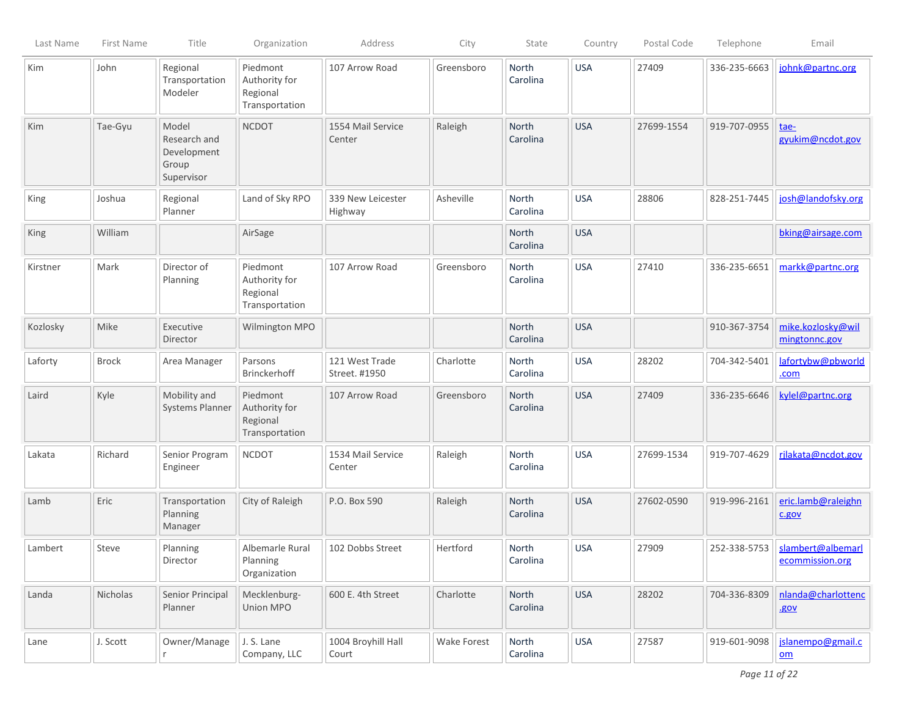| Last Name | First Name   | Title                                                       | Organization                                            | Address                         | City               | State                    | Country    | Postal Code | Telephone    | Email                                          |
|-----------|--------------|-------------------------------------------------------------|---------------------------------------------------------|---------------------------------|--------------------|--------------------------|------------|-------------|--------------|------------------------------------------------|
| Kim       | John         | Regional<br>Transportation<br>Modeler                       | Piedmont<br>Authority for<br>Regional<br>Transportation | 107 Arrow Road                  | Greensboro         | North<br>Carolina        | <b>USA</b> | 27409       | 336-235-6663 | johnk@partnc.org                               |
| Kim       | Tae-Gyu      | Model<br>Research and<br>Development<br>Group<br>Supervisor | <b>NCDOT</b>                                            | 1554 Mail Service<br>Center     | Raleigh            | North<br>Carolina        | <b>USA</b> | 27699-1554  | 919-707-0955 | tae-<br>gyukim@ncdot.gov                       |
| King      | Joshua       | Regional<br>Planner                                         | Land of Sky RPO                                         | 339 New Leicester<br>Highway    | Asheville          | North<br>Carolina        | <b>USA</b> | 28806       | 828-251-7445 | josh@landofsky.org                             |
| King      | William      |                                                             | AirSage                                                 |                                 |                    | North<br>Carolina        | <b>USA</b> |             |              | bking@airsage.com                              |
| Kirstner  | Mark         | Director of<br>Planning                                     | Piedmont<br>Authority for<br>Regional<br>Transportation | 107 Arrow Road                  | Greensboro         | North<br>Carolina        | <b>USA</b> | 27410       | 336-235-6651 | markk@partnc.org                               |
| Kozlosky  | Mike         | Executive<br>Director                                       | Wilmington MPO                                          |                                 |                    | North<br>Carolina        | <b>USA</b> |             | 910-367-3754 | mike.kozlosky@wil<br>mingtonnc.gov             |
| Laforty   | <b>Brock</b> | Area Manager                                                | Parsons<br><b>Brinckerhoff</b>                          | 121 West Trade<br>Street. #1950 | Charlotte          | North<br>Carolina        | <b>USA</b> | 28202       | 704-342-5401 | lafortybw@pbworld<br>.com                      |
| Laird     | Kyle         | Mobility and<br>Systems Planner                             | Piedmont<br>Authority for<br>Regional<br>Transportation | 107 Arrow Road                  | Greensboro         | <b>North</b><br>Carolina | <b>USA</b> | 27409       | 336-235-6646 | kylel@partnc.org                               |
| Lakata    | Richard      | Senior Program<br>Engineer                                  | <b>NCDOT</b>                                            | 1534 Mail Service<br>Center     | Raleigh            | North<br>Carolina        | <b>USA</b> | 27699-1534  | 919-707-4629 | rjlakata@ncdot.gov                             |
| Lamb      | Eric         | Transportation<br>Planning<br>Manager                       | City of Raleigh                                         | P.O. Box 590                    | Raleigh            | <b>North</b><br>Carolina | <b>USA</b> | 27602-0590  | 919-996-2161 | eric.lamb@raleighn<br>c.gov                    |
| Lambert   | Steve        | Planning<br>Director                                        | Albemarle Rural<br>Planning<br>Organization             | 102 Dobbs Street                | Hertford           | North<br>Carolina        | <b>USA</b> | 27909       | 252-338-5753 | slambert@albemarl<br>ecommission.org           |
| Landa     | Nicholas     | Senior Principal<br>Planner                                 | Mecklenburg-<br>Union MPO                               | 600 E. 4th Street               | Charlotte          | North<br>Carolina        | <b>USA</b> | 28202       | 704-336-8309 | nlanda@charlottenc<br>.gov                     |
| Lane      | J. Scott     | Owner/Manage<br>r                                           | J. S. Lane<br>Company, LLC                              | 1004 Broyhill Hall<br>Court     | <b>Wake Forest</b> | North<br>Carolina        | <b>USA</b> | 27587       | 919-601-9098 | jslanempo@gmail.c<br>$\underline{\mathsf{om}}$ |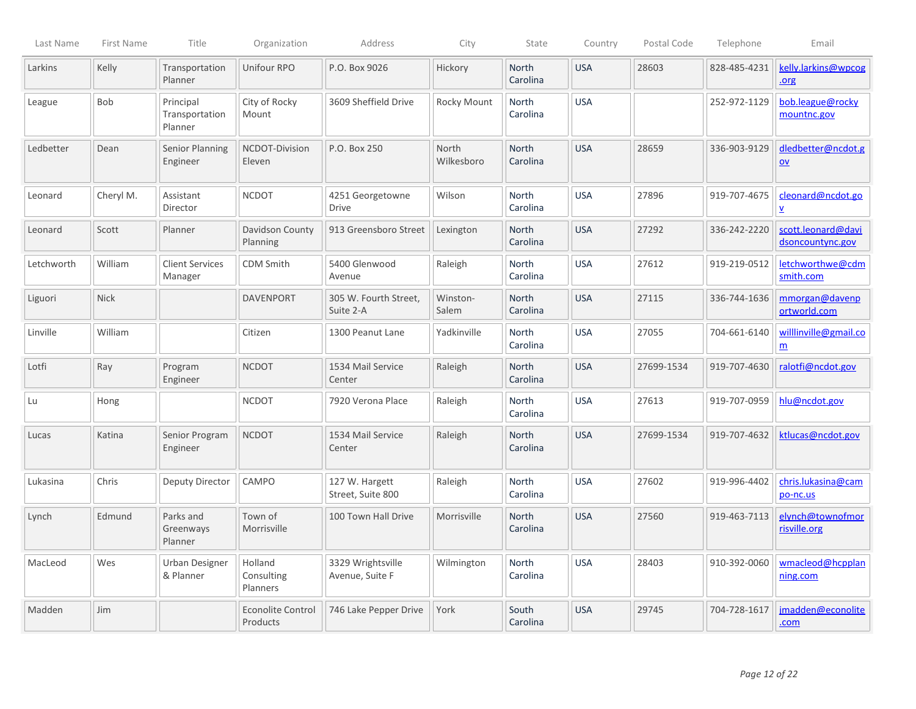| Last Name  | First Name  | Title                                  | Organization                         | Address                              | City                | State                    | Country    | Postal Code | Telephone    | Email                                           |
|------------|-------------|----------------------------------------|--------------------------------------|--------------------------------------|---------------------|--------------------------|------------|-------------|--------------|-------------------------------------------------|
| Larkins    | Kelly       | Transportation<br>Planner              | Unifour RPO                          | P.O. Box 9026                        | Hickory             | North<br>Carolina        | <b>USA</b> | 28603       | 828-485-4231 | kelly.larkins@wpcog<br>.org                     |
| League     | Bob         | Principal<br>Transportation<br>Planner | City of Rocky<br>Mount               | 3609 Sheffield Drive                 | Rocky Mount         | North<br>Carolina        | <b>USA</b> |             | 252-972-1129 | bob.league@rocky<br>mountnc.gov                 |
| Ledbetter  | Dean        | <b>Senior Planning</b><br>Engineer     | NCDOT-Division<br>Eleven             | P.O. Box 250                         | North<br>Wilkesboro | North<br>Carolina        | <b>USA</b> | 28659       | 336-903-9129 | dledbetter@ncdot.g<br>$\underline{\mathsf{ov}}$ |
| Leonard    | Cheryl M.   | Assistant<br>Director                  | <b>NCDOT</b>                         | 4251 Georgetowne<br><b>Drive</b>     | Wilson              | North<br>Carolina        | <b>USA</b> | 27896       | 919-707-4675 | cleonard@ncdot.go<br>$\underline{\mathsf{v}}$   |
| Leonard    | Scott       | Planner                                | Davidson County<br>Planning          | 913 Greensboro Street                | Lexington           | <b>North</b><br>Carolina | <b>USA</b> | 27292       | 336-242-2220 | scott.leonard@davi<br>dsoncountync.gov          |
| Letchworth | William     | <b>Client Services</b><br>Manager      | <b>CDM Smith</b>                     | 5400 Glenwood<br>Avenue              | Raleigh             | North<br>Carolina        | <b>USA</b> | 27612       | 919-219-0512 | letchworthwe@cdm<br>smith.com                   |
| Liguori    | <b>Nick</b> |                                        | <b>DAVENPORT</b>                     | 305 W. Fourth Street,<br>Suite 2-A   | Winston-<br>Salem   | North<br>Carolina        | <b>USA</b> | 27115       | 336-744-1636 | mmorgan@davenp<br>ortworld.com                  |
| Linville   | William     |                                        | Citizen                              | 1300 Peanut Lane                     | Yadkinville         | North<br>Carolina        | <b>USA</b> | 27055       | 704-661-6140 | willlinville@gmail.co<br>m                      |
| Lotfi      | Ray         | Program<br>Engineer                    | <b>NCDOT</b>                         | 1534 Mail Service<br>Center          | Raleigh             | North<br>Carolina        | <b>USA</b> | 27699-1534  | 919-707-4630 | ralotfi@ncdot.gov                               |
| Lu         | Hong        |                                        | <b>NCDOT</b>                         | 7920 Verona Place                    | Raleigh             | North<br>Carolina        | <b>USA</b> | 27613       | 919-707-0959 | hlu@ncdot.gov                                   |
| Lucas      | Katina      | Senior Program<br>Engineer             | <b>NCDOT</b>                         | 1534 Mail Service<br>Center          | Raleigh             | North<br>Carolina        | <b>USA</b> | 27699-1534  | 919-707-4632 | ktlucas@ncdot.gov                               |
| Lukasina   | Chris       | Deputy Director                        | CAMPO                                | 127 W. Hargett<br>Street, Suite 800  | Raleigh             | North<br>Carolina        | <b>USA</b> | 27602       | 919-996-4402 | chris.lukasina@cam<br>po-nc.us                  |
| Lynch      | Edmund      | Parks and<br>Greenways<br>Planner      | Town of<br>Morrisville               | 100 Town Hall Drive                  | Morrisville         | North<br>Carolina        | <b>USA</b> | 27560       | 919-463-7113 | elynch@townofmor<br>risville.org                |
| MacLeod    | Wes         | <b>Urban Designer</b><br>& Planner     | Holland<br>Consulting<br>Planners    | 3329 Wrightsville<br>Avenue, Suite F | Wilmington          | <b>North</b><br>Carolina | <b>USA</b> | 28403       | 910-392-0060 | wmacleod@hcpplan<br>ning.com                    |
| Madden     | Jim         |                                        | <b>Econolite Control</b><br>Products | 746 Lake Pepper Drive                | York                | South<br>Carolina        | <b>USA</b> | 29745       | 704-728-1617 | jmadden@econolite<br>.com                       |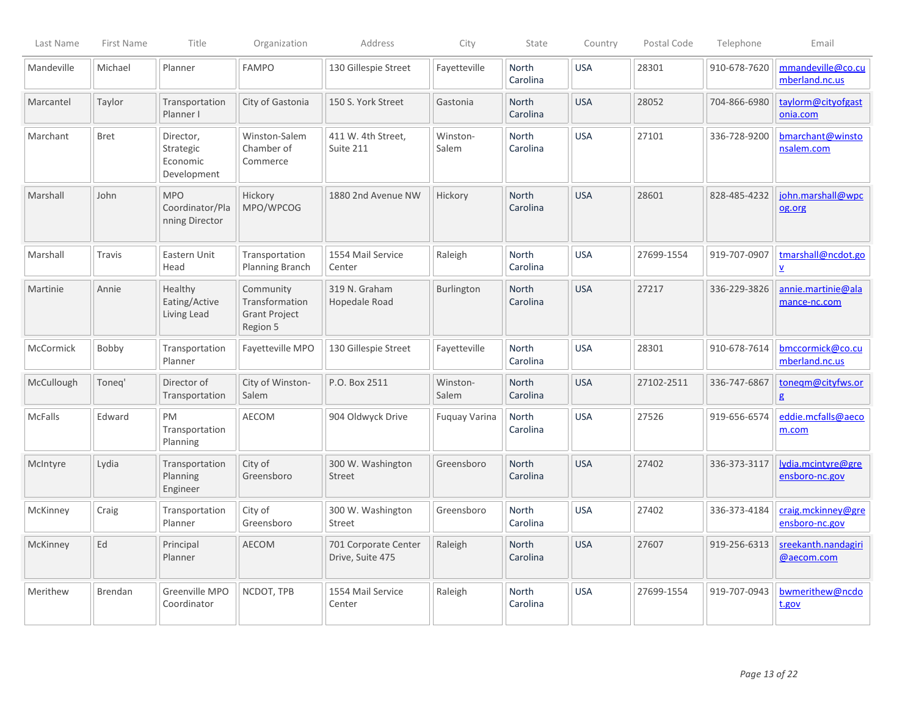| Last Name  | <b>First Name</b> | Title                                             | Organization                                                    | Address                                  | City                 | State                    | Country    | Postal Code | Telephone    | Email                                          |
|------------|-------------------|---------------------------------------------------|-----------------------------------------------------------------|------------------------------------------|----------------------|--------------------------|------------|-------------|--------------|------------------------------------------------|
| Mandeville | Michael           | Planner                                           | <b>FAMPO</b>                                                    | 130 Gillespie Street                     | Fayetteville         | <b>North</b><br>Carolina | <b>USA</b> | 28301       | 910-678-7620 | mmandeville@co.cu<br>mberland.nc.us            |
| Marcantel  | Taylor            | Transportation<br>Planner I                       | City of Gastonia                                                | 150 S. York Street                       | Gastonia             | <b>North</b><br>Carolina | <b>USA</b> | 28052       | 704-866-6980 | taylorm@cityofgast<br>onia.com                 |
| Marchant   | <b>Bret</b>       | Director,<br>Strategic<br>Economic<br>Development | Winston-Salem<br>Chamber of<br>Commerce                         | 411 W. 4th Street,<br>Suite 211          | Winston-<br>Salem    | North<br>Carolina        | <b>USA</b> | 27101       | 336-728-9200 | bmarchant@winsto<br>nsalem.com                 |
| Marshall   | John              | <b>MPO</b><br>Coordinator/Pla<br>nning Director   | Hickory<br>MPO/WPCOG                                            | 1880 2nd Avenue NW                       | Hickory              | <b>North</b><br>Carolina | <b>USA</b> | 28601       | 828-485-4232 | john.marshall@wpc<br>og.org                    |
| Marshall   | Travis            | Eastern Unit<br>Head                              | Transportation<br><b>Planning Branch</b>                        | 1554 Mail Service<br>Center              | Raleigh              | North<br>Carolina        | <b>USA</b> | 27699-1554  | 919-707-0907 | tmarshall@ncdot.go<br>$\underline{\mathsf{v}}$ |
| Martinie   | Annie             | <b>Healthy</b><br>Eating/Active<br>Living Lead    | Community<br>Transformation<br><b>Grant Project</b><br>Region 5 | 319 N. Graham<br>Hopedale Road           | Burlington           | North<br>Carolina        | <b>USA</b> | 27217       | 336-229-3826 | annie.martinie@ala<br>mance-nc.com             |
| McCormick  | Bobby             | Transportation<br>Planner                         | Fayetteville MPO                                                | 130 Gillespie Street                     | Fayetteville         | <b>North</b><br>Carolina | <b>USA</b> | 28301       | 910-678-7614 | bmccormick@co.cu<br>mberland.nc.us             |
| McCullough | Toneg'            | Director of<br>Transportation                     | City of Winston-<br>Salem                                       | P.O. Box 2511                            | Winston-<br>Salem    | North<br>Carolina        | <b>USA</b> | 27102-2511  | 336-747-6867 | tonegm@cityfws.or<br>g                         |
| McFalls    | Edward            | PM<br>Transportation<br>Planning                  | AECOM                                                           | 904 Oldwyck Drive                        | <b>Fuquay Varina</b> | <b>North</b><br>Carolina | <b>USA</b> | 27526       | 919-656-6574 | eddie.mcfalls@aeco<br>m.com                    |
| McIntyre   | Lydia             | Transportation<br>Planning<br>Engineer            | City of<br>Greensboro                                           | 300 W. Washington<br>Street              | Greensboro           | North<br>Carolina        | <b>USA</b> | 27402       | 336-373-3117 | lydia.mcintyre@gre<br>ensboro-nc.gov           |
| McKinney   | Craig             | Transportation<br>Planner                         | City of<br>Greensboro                                           | 300 W. Washington<br>Street              | Greensboro           | North<br>Carolina        | <b>USA</b> | 27402       | 336-373-4184 | craig.mckinney@gre<br>ensboro-nc.gov           |
| McKinney   | Ed                | Principal<br>Planner                              | AECOM                                                           | 701 Corporate Center<br>Drive, Suite 475 | Raleigh              | North<br>Carolina        | <b>USA</b> | 27607       | 919-256-6313 | sreekanth.nandagiri<br>@aecom.com              |
| Merithew   | <b>Brendan</b>    | Greenville MPO<br>Coordinator                     | NCDOT, TPB                                                      | 1554 Mail Service<br>Center              | Raleigh              | <b>North</b><br>Carolina | <b>USA</b> | 27699-1554  | 919-707-0943 | bwmerithew@ncdo<br>t.gov                       |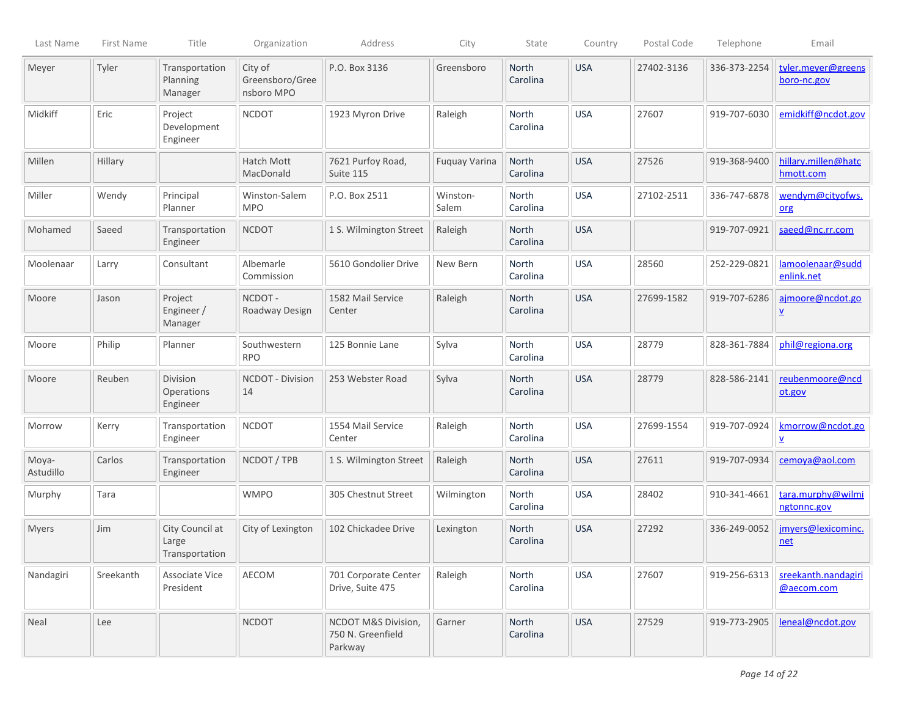| Last Name          | First Name | Title                                      | Organization                             | Address                                             | City              | State                    | Country    | Postal Code | Telephone    | Email                               |
|--------------------|------------|--------------------------------------------|------------------------------------------|-----------------------------------------------------|-------------------|--------------------------|------------|-------------|--------------|-------------------------------------|
| Meyer              | Tyler      | Transportation<br>Planning<br>Manager      | City of<br>Greensboro/Gree<br>nsboro MPO | P.O. Box 3136                                       | Greensboro        | North<br>Carolina        | <b>USA</b> | 27402-3136  | 336-373-2254 | tyler.meyer@greens<br>boro-nc.gov   |
| Midkiff            | Eric       | Project<br>Development<br>Engineer         | <b>NCDOT</b>                             | 1923 Myron Drive                                    | Raleigh           | North<br>Carolina        | <b>USA</b> | 27607       | 919-707-6030 | emidkiff@ncdot.gov                  |
| Millen             | Hillary    |                                            | Hatch Mott<br>MacDonald                  | 7621 Purfoy Road,<br>Suite 115                      | Fuquay Varina     | North<br>Carolina        | <b>USA</b> | 27526       | 919-368-9400 | hillary.millen@hatc<br>hmott.com    |
| Miller             | Wendy      | Principal<br>Planner                       | Winston-Salem<br><b>MPO</b>              | P.O. Box 2511                                       | Winston-<br>Salem | North<br>Carolina        | <b>USA</b> | 27102-2511  | 336-747-6878 | wendym@cityofws.<br>org             |
| Mohamed            | Saeed      | Transportation<br>Engineer                 | <b>NCDOT</b>                             | 1 S. Wilmington Street                              | Raleigh           | North<br>Carolina        | <b>USA</b> |             | 919-707-0921 | saeed@nc.rr.com                     |
| Moolenaar          | Larry      | Consultant                                 | Albemarle<br>Commission                  | 5610 Gondolier Drive                                | New Bern          | North<br>Carolina        | <b>USA</b> | 28560       | 252-229-0821 | lamoolenaar@sudd<br>enlink.net      |
| Moore              | Jason      | Project<br>Engineer /<br>Manager           | NCDOT-<br>Roadway Design                 | 1582 Mail Service<br>Center                         | Raleigh           | North<br>Carolina        | <b>USA</b> | 27699-1582  | 919-707-6286 | ajmoore@ncdot.go<br>$\underline{v}$ |
| Moore              | Philip     | Planner                                    | Southwestern<br><b>RPO</b>               | 125 Bonnie Lane                                     | Sylva             | North<br>Carolina        | <b>USA</b> | 28779       | 828-361-7884 | phil@regiona.org                    |
| Moore              | Reuben     | <b>Division</b><br>Operations<br>Engineer  | <b>NCDOT - Division</b><br>14            | 253 Webster Road                                    | Sylva             | North<br>Carolina        | <b>USA</b> | 28779       | 828-586-2141 | reubenmoore@ncd<br>ot.gov           |
| Morrow             | Kerry      | Transportation<br>Engineer                 | <b>NCDOT</b>                             | 1554 Mail Service<br>Center                         | Raleigh           | North<br>Carolina        | <b>USA</b> | 27699-1554  | 919-707-0924 | kmorrow@ncdot.go<br>V               |
| Moya-<br>Astudillo | Carlos     | Transportation<br>Engineer                 | NCDOT / TPB                              | 1 S. Wilmington Street                              | Raleigh           | North<br>Carolina        | <b>USA</b> | 27611       | 919-707-0934 | cemoya@aol.com                      |
| Murphy             | Tara       |                                            | <b>WMPO</b>                              | 305 Chestnut Street                                 | Wilmington        | North<br>Carolina        | <b>USA</b> | 28402       | 910-341-4661 | tara.murphy@wilmi<br>ngtonnc.gov    |
| <b>Myers</b>       | Jim        | City Council at<br>Large<br>Transportation | City of Lexington                        | 102 Chickadee Drive                                 | Lexington         | <b>North</b><br>Carolina | <b>USA</b> | 27292       | 336-249-0052 | jmyers@lexicominc.<br><u>net</u>    |
| Nandagiri          | Sreekanth  | Associate Vice<br>President                | AECOM                                    | 701 Corporate Center<br>Drive, Suite 475            | Raleigh           | North<br>Carolina        | <b>USA</b> | 27607       | 919-256-6313 | sreekanth.nandagiri<br>@aecom.com   |
| Neal               | Lee        |                                            | <b>NCDOT</b>                             | NCDOT M&S Division,<br>750 N. Greenfield<br>Parkway | Garner            | North<br>Carolina        | <b>USA</b> | 27529       | 919-773-2905 | leneal@ncdot.gov                    |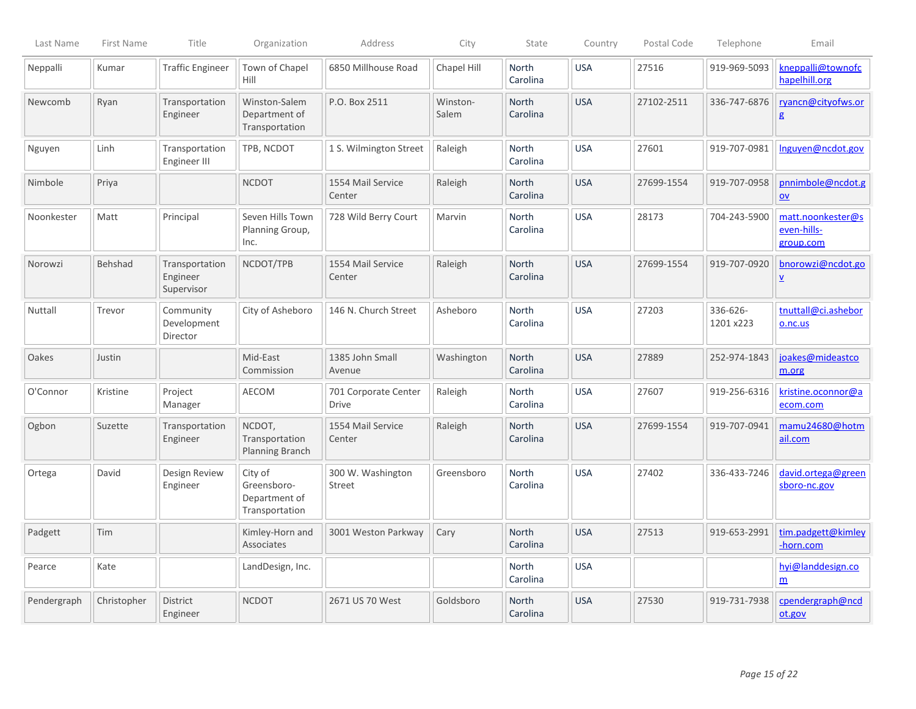| Last Name   | First Name  | Title                                    | Organization                                              | Address                              | City              | State                    | Country    | Postal Code | Telephone             | Email                                          |
|-------------|-------------|------------------------------------------|-----------------------------------------------------------|--------------------------------------|-------------------|--------------------------|------------|-------------|-----------------------|------------------------------------------------|
| Neppalli    | Kumar       | <b>Traffic Engineer</b>                  | Town of Chapel<br>Hill                                    | 6850 Millhouse Road                  | Chapel Hill       | North<br>Carolina        | <b>USA</b> | 27516       | 919-969-5093          | kneppalli@townofc<br>hapelhill.org             |
| Newcomb     | Ryan        | Transportation<br>Engineer               | Winston-Salem<br>Department of<br>Transportation          | P.O. Box 2511                        | Winston-<br>Salem | North<br>Carolina        | <b>USA</b> | 27102-2511  | 336-747-6876          | ryancn@cityofws.or<br>g                        |
| Nguyen      | Linh        | Transportation<br>Engineer III           | TPB, NCDOT                                                | 1 S. Wilmington Street               | Raleigh           | North<br>Carolina        | <b>USA</b> | 27601       | 919-707-0981          | Inguyen@ncdot.gov                              |
| Nimbole     | Priya       |                                          | <b>NCDOT</b>                                              | 1554 Mail Service<br>Center          | Raleigh           | <b>North</b><br>Carolina | <b>USA</b> | 27699-1554  | 919-707-0958          | pnnimbole@ncdot.g<br>$\underline{\mathsf{ov}}$ |
| Noonkester  | Matt        | Principal                                | Seven Hills Town<br>Planning Group,<br>Inc.               | 728 Wild Berry Court                 | Marvin            | North<br>Carolina        | <b>USA</b> | 28173       | 704-243-5900          | matt.noonkester@s<br>even-hills-<br>group.com  |
| Norowzi     | Behshad     | Transportation<br>Engineer<br>Supervisor | NCDOT/TPB                                                 | 1554 Mail Service<br>Center          | Raleigh           | North<br>Carolina        | <b>USA</b> | 27699-1554  | 919-707-0920          | bnorowzi@ncdot.go<br>$\underline{v}$           |
| Nuttall     | Trevor      | Community<br>Development<br>Director     | City of Asheboro                                          | 146 N. Church Street                 | Asheboro          | North<br>Carolina        | <b>USA</b> | 27203       | 336-626-<br>1201 x223 | tnuttall@ci.ashebor<br>o.nc.us                 |
| Oakes       | Justin      |                                          | Mid-East<br>Commission                                    | 1385 John Small<br>Avenue            | Washington        | <b>North</b><br>Carolina | <b>USA</b> | 27889       | 252-974-1843          | joakes@mideastco<br>m.org                      |
| O'Connor    | Kristine    | Project<br>Manager                       | <b>AECOM</b>                                              | 701 Corporate Center<br><b>Drive</b> | Raleigh           | <b>North</b><br>Carolina | <b>USA</b> | 27607       | 919-256-6316          | kristine.oconnor@a<br>ecom.com                 |
| Ogbon       | Suzette     | Transportation<br>Engineer               | NCDOT,<br>Transportation<br>Planning Branch               | 1554 Mail Service<br>Center          | Raleigh           | <b>North</b><br>Carolina | <b>USA</b> | 27699-1554  | 919-707-0941          | mamu24680@hotm<br>ail.com                      |
| Ortega      | David       | Design Review<br>Engineer                | City of<br>Greensboro-<br>Department of<br>Transportation | 300 W. Washington<br>Street          | Greensboro        | North<br>Carolina        | <b>USA</b> | 27402       | 336-433-7246          | david.ortega@green<br>sboro-nc.gov             |
| Padgett     | Tim         |                                          | Kimley-Horn and<br>Associates                             | 3001 Weston Parkway                  | Cary              | <b>North</b><br>Carolina | <b>USA</b> | 27513       | 919-653-2991          | tim.padgett@kimley<br>-horn.com                |
| Pearce      | Kate        |                                          | LandDesign, Inc.                                          |                                      |                   | <b>North</b><br>Carolina | <b>USA</b> |             |                       | hyi@landdesign.co<br>m                         |
| Pendergraph | Christopher | District<br>Engineer                     | <b>NCDOT</b>                                              | 2671 US 70 West                      | Goldsboro         | <b>North</b><br>Carolina | <b>USA</b> | 27530       | 919-731-7938          | cpendergraph@ncd<br>ot.gov                     |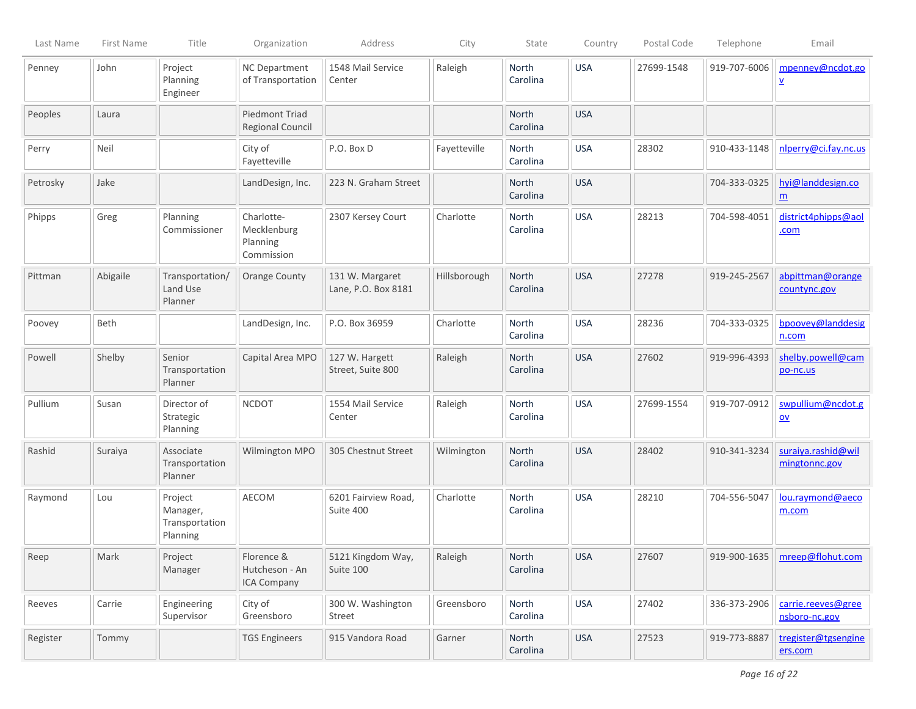| Last Name | First Name | Title                                             | Organization                                        | Address                                | City         | State                    | Country     | Postal Code | Telephone          | Email                                          |
|-----------|------------|---------------------------------------------------|-----------------------------------------------------|----------------------------------------|--------------|--------------------------|-------------|-------------|--------------------|------------------------------------------------|
| Penney    | John       | Project<br>Planning<br>Engineer                   | <b>NC Department</b><br>of Transportation           | 1548 Mail Service<br>Center            | Raleigh      | North<br>Carolina        | <b>USA</b>  | 27699-1548  | 919-707-6006       | mpenney@ncdot.go<br>⊻                          |
| Peoples   | Laura      |                                                   | <b>Piedmont Triad</b><br>Regional Council           |                                        |              | North<br>Carolina        | <b>USA</b>  |             |                    |                                                |
| Perry     | Neil       |                                                   | City of<br>Fayetteville                             | P.O. Box D                             | Fayetteville | North<br>Carolina        | <b>USA</b>  | 28302       | 910-433-1148       | nlperry@ci.fay.nc.us                           |
| Petrosky  | Jake       |                                                   | LandDesign, Inc.                                    | 223 N. Graham Street                   |              | North<br>Carolina        | <b>USA</b>  |             | 704-333-0325       | hyi@landdesign.co<br>$\underline{m}$           |
| Phipps    | Greg       | Planning<br>Commissioner                          | Charlotte-<br>Mecklenburg<br>Planning<br>Commission | 2307 Kersey Court                      | Charlotte    | North<br>Carolina        | <b>USA</b>  | 28213       | 704-598-4051       | district4phipps@aol<br>.com                    |
| Pittman   | Abigaile   | Transportation/<br>Land Use<br>Planner            | <b>Orange County</b>                                | 131 W. Margaret<br>Lane, P.O. Box 8181 | Hillsborough | North<br>Carolina        | <b>USA</b>  | 27278       | 919-245-2567       | abpittman@orange<br>countync.gov               |
| Poovey    | Beth       |                                                   | LandDesign, Inc.                                    | P.O. Box 36959                         | Charlotte    | <b>North</b><br>Carolina | <b>USA</b>  | 28236       | 704-333-0325       | bpoovey@landdesig<br>n.com                     |
| Powell    | Shelby     | Senior<br>Transportation<br>Planner               | Capital Area MPO                                    | 127 W. Hargett<br>Street, Suite 800    | Raleigh      | North<br>Carolina        | <b>USA</b>  | 27602       | 919-996-4393       | shelby.powell@cam<br>po-nc.us                  |
| Pullium   | Susan      | Director of<br>Strategic<br>Planning              | <b>NCDOT</b>                                        | 1554 Mail Service<br>Center            | Raleigh      | <b>North</b><br>Carolina | <b>USA</b>  | 27699-1554  | 919-707-0912       | swpullium@ncdot.g<br>$\underline{\mathsf{ov}}$ |
| Rashid    | Suraiya    | Associate<br>Transportation<br>Planner            | Wilmington MPO                                      | 305 Chestnut Street                    | Wilmington   | <b>North</b><br>Carolina | <b>USA</b>  | 28402       | 910-341-3234       | suraiya.rashid@wil<br>mingtonnc.gov            |
| Raymond   | Lou        | Project<br>Manager,<br>Transportation<br>Planning | AECOM                                               | 6201 Fairview Road,<br>Suite 400       | Charlotte    | <b>North</b><br>Carolina | <b>USA</b>  | 28210       | 704-556-5047       | lou.raymond@aeco<br>m.com                      |
| Reep      | Mark       | Project<br>Manager                                | Florence &<br>Hutcheson - An<br>ICA Company         | 5121 Kingdom Way,<br>Suite 100         | Raleigh      | North<br>Carolina        | $\big $ USA | 27607       | $919 - 900 - 1635$ | mreep@flohut.com                               |
| Reeves    | Carrie     | Engineering<br>Supervisor                         | City of<br>Greensboro                               | 300 W. Washington<br>Street            | Greensboro   | North<br>Carolina        | <b>USA</b>  | 27402       | 336-373-2906       | carrie.reeves@gree<br>nsboro-nc.gov            |
| Register  | Tommy      |                                                   | <b>TGS Engineers</b>                                | 915 Vandora Road                       | Garner       | North<br>Carolina        | <b>USA</b>  | 27523       | 919-773-8887       | tregister@tgsengine<br>ers.com                 |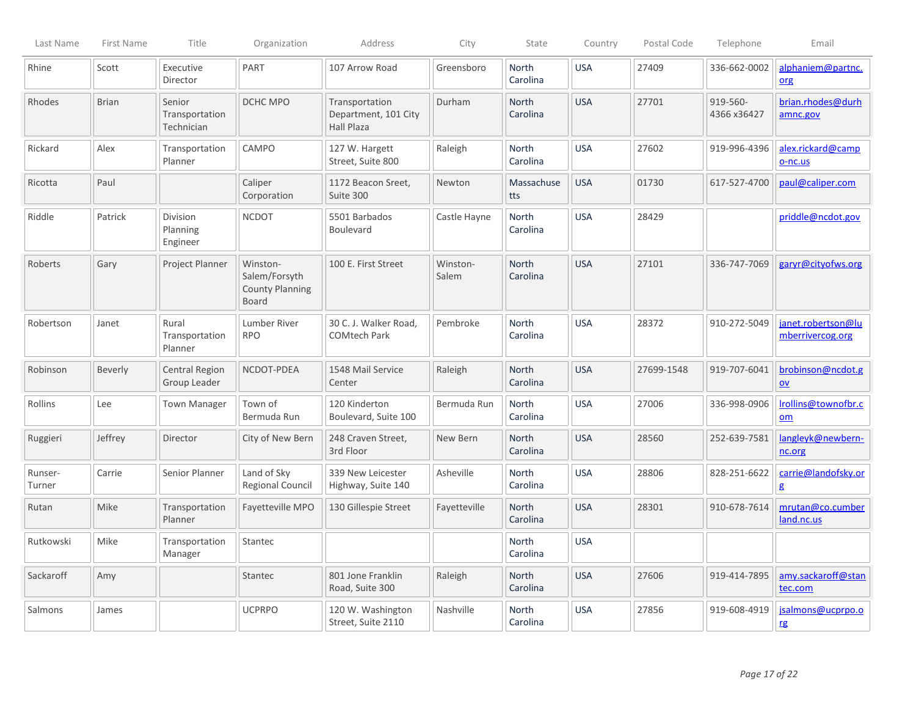| Last Name         | First Name   | Title                                  | Organization                                                        | Address                                              | City              | State                    | Country    | Postal Code | Telephone               | Email                                          |
|-------------------|--------------|----------------------------------------|---------------------------------------------------------------------|------------------------------------------------------|-------------------|--------------------------|------------|-------------|-------------------------|------------------------------------------------|
| Rhine             | Scott        | Executive<br>Director                  | PART                                                                | 107 Arrow Road                                       | Greensboro        | North<br>Carolina        | <b>USA</b> | 27409       | 336-662-0002            | alphaniem@partnc.<br>org                       |
| Rhodes            | <b>Brian</b> | Senior<br>Transportation<br>Technician | DCHC MPO                                                            | Transportation<br>Department, 101 City<br>Hall Plaza | Durham            | North<br>Carolina        | <b>USA</b> | 27701       | 919-560-<br>4366 x36427 | brian.rhodes@durh<br>amnc.gov                  |
| Rickard           | Alex         | Transportation<br>Planner              | CAMPO                                                               | 127 W. Hargett<br>Street, Suite 800                  | Raleigh           | North<br>Carolina        | <b>USA</b> | 27602       | 919-996-4396            | alex.rickard@camp<br>o-nc.us                   |
| Ricotta           | Paul         |                                        | Caliper<br>Corporation                                              | 1172 Beacon Sreet,<br>Suite 300                      | Newton            | Massachuse<br>tts        | <b>USA</b> | 01730       | 617-527-4700            | paul@caliper.com                               |
| Riddle            | Patrick      | Division<br>Planning<br>Engineer       | <b>NCDOT</b>                                                        | 5501 Barbados<br><b>Boulevard</b>                    | Castle Hayne      | North<br>Carolina        | <b>USA</b> | 28429       |                         | priddle@ncdot.gov                              |
| Roberts           | Gary         | Project Planner                        | Winston-<br>Salem/Forsyth<br><b>County Planning</b><br><b>Board</b> | 100 E. First Street                                  | Winston-<br>Salem | North<br>Carolina        | <b>USA</b> | 27101       | 336-747-7069            | garyr@cityofws.org                             |
| Robertson         | Janet        | Rural<br>Transportation<br>Planner     | Lumber River<br><b>RPO</b>                                          | 30 C. J. Walker Road,<br><b>COMtech Park</b>         | Pembroke          | <b>North</b><br>Carolina | <b>USA</b> | 28372       | 910-272-5049            | janet.robertson@lu<br>mberrivercog.org         |
| Robinson          | Beverly      | Central Region<br>Group Leader         | NCDOT-PDEA                                                          | 1548 Mail Service<br>Center                          | Raleigh           | North<br>Carolina        | <b>USA</b> | 27699-1548  | 919-707-6041            | brobinson@ncdot.g<br>$\underline{\mathsf{ov}}$ |
| Rollins           | Lee          | <b>Town Manager</b>                    | Town of<br>Bermuda Run                                              | 120 Kinderton<br>Boulevard, Suite 100                | Bermuda Run       | North<br>Carolina        | <b>USA</b> | 27006       | 336-998-0906            | Irollins@townofbr.c<br>om                      |
| Ruggieri          | Jeffrey      | Director                               | City of New Bern                                                    | 248 Craven Street,<br>3rd Floor                      | New Bern          | <b>North</b><br>Carolina | <b>USA</b> | 28560       | 252-639-7581            | langleyk@newbern-<br>nc.org                    |
| Runser-<br>Turner | Carrie       | Senior Planner                         | Land of Sky<br>Regional Council                                     | 339 New Leicester<br>Highway, Suite 140              | Asheville         | North<br>Carolina        | <b>USA</b> | 28806       | 828-251-6622            | carrie@landofsky.or<br>g                       |
| Rutan             | Mike         | Transportation<br>Planner              | Fayetteville MPO                                                    | 130 Gillespie Street                                 | Fayetteville      | <b>North</b><br>Carolina | <b>USA</b> | 28301       | 910-678-7614            | mrutan@co.cumber<br>land.nc.us                 |
| Rutkowski         | Mike         | Transportation<br>Manager              | Stantec                                                             |                                                      |                   | <b>North</b><br>Carolina | <b>USA</b> |             |                         |                                                |
| Sackaroff         | Amy          |                                        | Stantec                                                             | 801 Jone Franklin<br>Road, Suite 300                 | Raleigh           | North<br>Carolina        | <b>USA</b> | 27606       | 919-414-7895            | amy.sackaroff@stan<br>tec.com                  |
| Salmons           | James        |                                        | <b>UCPRPO</b>                                                       | 120 W. Washington<br>Street, Suite 2110              | Nashville         | North<br>Carolina        | <b>USA</b> | 27856       | 919-608-4919            | jsalmons@ucprpo.o<br>rg                        |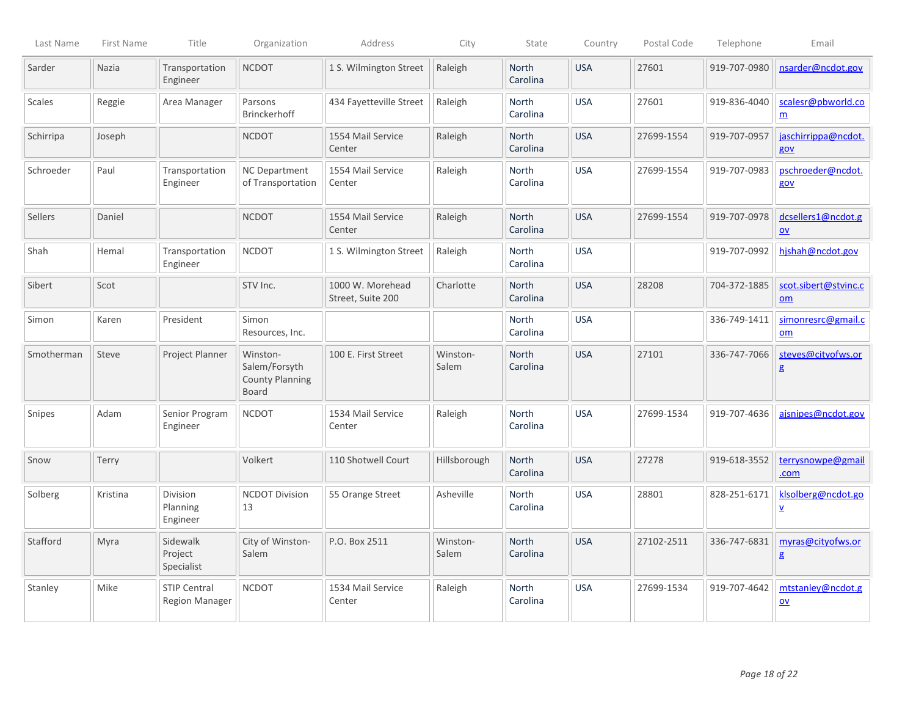| Last Name  | First Name | Title                                        | Organization                                                 | Address                               | City              | State                    | Country    | Postal Code | Telephone    | Email                                          |
|------------|------------|----------------------------------------------|--------------------------------------------------------------|---------------------------------------|-------------------|--------------------------|------------|-------------|--------------|------------------------------------------------|
| Sarder     | Nazia      | Transportation<br>Engineer                   | <b>NCDOT</b>                                                 | 1 S. Wilmington Street                | Raleigh           | North<br>Carolina        | <b>USA</b> | 27601       | 919-707-0980 | nsarder@ncdot.gov                              |
| Scales     | Reggie     | Area Manager                                 | Parsons<br>Brinckerhoff                                      | 434 Fayetteville Street               | Raleigh           | North<br>Carolina        | <b>USA</b> | 27601       | 919-836-4040 | scalesr@pbworld.co<br>$\underline{m}$          |
| Schirripa  | Joseph     |                                              | <b>NCDOT</b>                                                 | 1554 Mail Service<br>Center           | Raleigh           | <b>North</b><br>Carolina | <b>USA</b> | 27699-1554  | 919-707-0957 | jaschirrippa@ncdot.<br>gov                     |
| Schroeder  | Paul       | Transportation<br>Engineer                   | <b>NC Department</b><br>of Transportation                    | 1554 Mail Service<br>Center           | Raleigh           | North<br>Carolina        | <b>USA</b> | 27699-1554  | 919-707-0983 | pschroeder@ncdot.<br>gov                       |
| Sellers    | Daniel     |                                              | <b>NCDOT</b>                                                 | 1554 Mail Service<br>Center           | Raleigh           | <b>North</b><br>Carolina | <b>USA</b> | 27699-1554  | 919-707-0978 | dcsellers1@ncdot.g<br>$ov$                     |
| Shah       | Hemal      | Transportation<br>Engineer                   | <b>NCDOT</b>                                                 | 1 S. Wilmington Street                | Raleigh           | North<br>Carolina        | <b>USA</b> |             | 919-707-0992 | hjshah@ncdot.gov                               |
| Sibert     | Scot       |                                              | STV Inc.                                                     | 1000 W. Morehead<br>Street, Suite 200 | Charlotte         | <b>North</b><br>Carolina | <b>USA</b> | 28208       | 704-372-1885 | scot.sibert@stvinc.c<br>om                     |
| Simon      | Karen      | President                                    | Simon<br>Resources, Inc.                                     |                                       |                   | North<br>Carolina        | <b>USA</b> |             | 336-749-1411 | simonresrc@gmail.c<br>$om$                     |
| Smotherman | Steve      | Project Planner                              | Winston-<br>Salem/Forsyth<br><b>County Planning</b><br>Board | 100 E. First Street                   | Winston-<br>Salem | North<br>Carolina        | <b>USA</b> | 27101       | 336-747-7066 | steves@cityofws.or<br>g                        |
| Snipes     | Adam       | Senior Program<br>Engineer                   | <b>NCDOT</b>                                                 | 1534 Mail Service<br>Center           | Raleigh           | North<br>Carolina        | <b>USA</b> | 27699-1534  | 919-707-4636 | ajsnipes@ncdot.gov                             |
| Snow       | Terry      |                                              | Volkert                                                      | 110 Shotwell Court                    | Hillsborough      | North<br>Carolina        | <b>USA</b> | 27278       | 919-618-3552 | terrysnowpe@gmail<br>.com                      |
| Solberg    | Kristina   | Division<br>Planning<br>Engineer             | <b>NCDOT Division</b><br>13                                  | 55 Orange Street                      | Asheville         | North<br>Carolina        | <b>USA</b> | 28801       | 828-251-6171 | klsolberg@ncdot.go<br>$\overline{\mathbf{v}}$  |
| Stafford   | Myra       | Sidewalk<br>Project<br>Specialist            | City of Winston-<br>Salem                                    | P.O. Box 2511                         | Winston-<br>Salem | North<br>Carolina        | <b>USA</b> | 27102-2511  | 336-747-6831 | myras@cityofws.or<br>$\mathbf{g}$              |
| Stanley    | Mike       | <b>STIP Central</b><br><b>Region Manager</b> | <b>NCDOT</b>                                                 | 1534 Mail Service<br>Center           | Raleigh           | North<br>Carolina        | <b>USA</b> | 27699-1534  | 919-707-4642 | mtstanley@ncdot.g<br>$\underline{\mathsf{ov}}$ |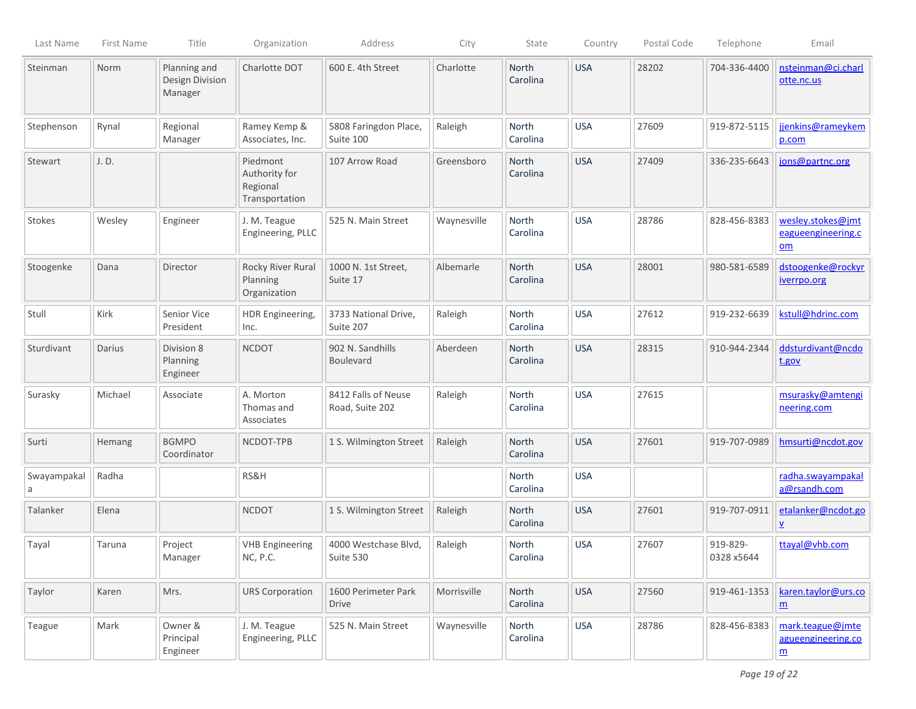| Last Name        | First Name | Title                                      | Organization                                            | Address                                | City        | State                    | Country    | Postal Code | Telephone              | Email                                                              |
|------------------|------------|--------------------------------------------|---------------------------------------------------------|----------------------------------------|-------------|--------------------------|------------|-------------|------------------------|--------------------------------------------------------------------|
| Steinman         | Norm       | Planning and<br>Design Division<br>Manager | Charlotte DOT                                           | 600 E. 4th Street                      | Charlotte   | North<br>Carolina        | <b>USA</b> | 28202       | 704-336-4400           | nsteinman@ci.charl<br>otte.nc.us                                   |
| Stephenson       | Rynal      | Regional<br>Manager                        | Ramey Kemp &<br>Associates, Inc.                        | 5808 Faringdon Place,<br>Suite 100     | Raleigh     | North<br>Carolina        | <b>USA</b> | 27609       | 919-872-5115           | jjenkins@rameykem<br>p.com                                         |
| Stewart          | J.D.       |                                            | Piedmont<br>Authority for<br>Regional<br>Transportation | 107 Arrow Road                         | Greensboro  | North<br>Carolina        | <b>USA</b> | 27409       | 336-235-6643           | jons@partnc.org                                                    |
| Stokes           | Wesley     | Engineer                                   | J. M. Teague<br>Engineering, PLLC                       | 525 N. Main Street                     | Waynesville | North<br>Carolina        | <b>USA</b> | 28786       | 828-456-8383           | wesley.stokes@jmt<br>eagueengineering.c<br>om                      |
| Stoogenke        | Dana       | Director                                   | Rocky River Rural<br>Planning<br>Organization           | 1000 N. 1st Street,<br>Suite 17        | Albemarle   | North<br>Carolina        | <b>USA</b> | 28001       | 980-581-6589           | dstoogenke@rockyr<br>iverrpo.org                                   |
| Stull            | Kirk       | Senior Vice<br>President                   | HDR Engineering,<br>Inc.                                | 3733 National Drive,<br>Suite 207      | Raleigh     | North<br>Carolina        | <b>USA</b> | 27612       | 919-232-6639           | kstull@hdrinc.com                                                  |
| Sturdivant       | Darius     | Division 8<br>Planning<br>Engineer         | <b>NCDOT</b>                                            | 902 N. Sandhills<br><b>Boulevard</b>   | Aberdeen    | <b>North</b><br>Carolina | <b>USA</b> | 28315       | 910-944-2344           | ddsturdivant@ncdo<br>t.gov                                         |
| Surasky          | Michael    | Associate                                  | A. Morton<br>Thomas and<br>Associates                   | 8412 Falls of Neuse<br>Road, Suite 202 | Raleigh     | <b>North</b><br>Carolina | <b>USA</b> | 27615       |                        | msurasky@amtengi<br>neering.com                                    |
| Surti            | Hemang     | <b>BGMPO</b><br>Coordinator                | NCDOT-TPB                                               | 1 S. Wilmington Street                 | Raleigh     | North<br>Carolina        | <b>USA</b> | 27601       | 919-707-0989           | hmsurti@ncdot.gov                                                  |
| Swayampakal<br>a | Radha      |                                            | RS&H                                                    |                                        |             | <b>North</b><br>Carolina | <b>USA</b> |             |                        | radha.swayampakal<br>a@rsandh.com                                  |
| Talanker         | Elena      |                                            | <b>NCDOT</b>                                            | 1 S. Wilmington Street                 | Raleigh     | North<br>Carolina        | <b>USA</b> | 27601       | 919-707-0911           | etalanker@ncdot.go<br>$\underline{v}$                              |
| Tayal            | Taruna     | Project<br>Manager                         | <b>VHB Engineering</b><br>NC, P.C.                      | 4000 Westchase Blvd,<br>Suite 530      | Raleigh     | North<br>Carolina        | <b>USA</b> | 27607       | 919-829-<br>0328 x5644 | ttayal@vhb.com                                                     |
| Taylor           | Karen      | Mrs.                                       | <b>URS Corporation</b>                                  | 1600 Perimeter Park<br><b>Drive</b>    | Morrisville | North<br>Carolina        | <b>USA</b> | 27560       | 919-461-1353           | karen.taylor@urs.co<br>$\underline{m}$                             |
| Teague           | Mark       | Owner &<br>Principal<br>Engineer           | J. M. Teague<br>Engineering, PLLC                       | 525 N. Main Street                     | Waynesville | North<br>Carolina        | <b>USA</b> | 28786       | 828-456-8383           | mark.teague@jmte<br>agueengineering.co<br>$\underline{\mathsf{m}}$ |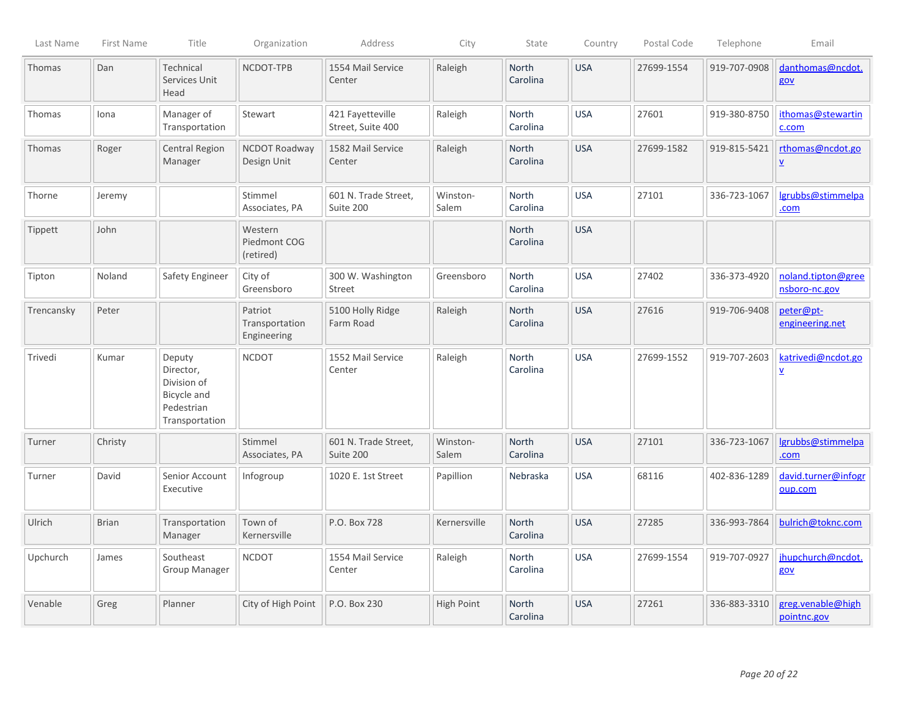| Last Name  | First Name   | Title                                                                             | Organization                             | Address                               | City              | State                    | Country    | Postal Code | Telephone    | Email                                        |
|------------|--------------|-----------------------------------------------------------------------------------|------------------------------------------|---------------------------------------|-------------------|--------------------------|------------|-------------|--------------|----------------------------------------------|
| Thomas     | Dan          | Technical<br>Services Unit<br>Head                                                | NCDOT-TPB                                | 1554 Mail Service<br>Center           | Raleigh           | North<br>Carolina        | <b>USA</b> | 27699-1554  | 919-707-0908 | danthomas@ncdot.<br>gov                      |
| Thomas     | Iona         | Manager of<br>Transportation                                                      | Stewart                                  | 421 Fayetteville<br>Street, Suite 400 | Raleigh           | North<br>Carolina        | <b>USA</b> | 27601       | 919-380-8750 | ithomas@stewartin<br>c.com                   |
| Thomas     | Roger        | <b>Central Region</b><br>Manager                                                  | NCDOT Roadway<br>Design Unit             | 1582 Mail Service<br>Center           | Raleigh           | North<br>Carolina        | <b>USA</b> | 27699-1582  | 919-815-5421 | rthomas@ncdot.go<br>$\underline{\mathsf{v}}$ |
| Thorne     | Jeremy       |                                                                                   | Stimmel<br>Associates, PA                | 601 N. Trade Street,<br>Suite 200     | Winston-<br>Salem | North<br>Carolina        | <b>USA</b> | 27101       | 336-723-1067 | lgrubbs@stimmelpa<br>.com                    |
| Tippett    | John         |                                                                                   | Western<br>Piedmont COG<br>(retired)     |                                       |                   | North<br>Carolina        | <b>USA</b> |             |              |                                              |
| Tipton     | Noland       | Safety Engineer                                                                   | City of<br>Greensboro                    | 300 W. Washington<br><b>Street</b>    | Greensboro        | North<br>Carolina        | <b>USA</b> | 27402       | 336-373-4920 | noland.tipton@gree<br>nsboro-nc.gov          |
| Trencansky | Peter        |                                                                                   | Patriot<br>Transportation<br>Engineering | 5100 Holly Ridge<br>Farm Road         | Raleigh           | North<br>Carolina        | <b>USA</b> | 27616       | 919-706-9408 | peter@pt-<br>engineering.net                 |
| Trivedi    | Kumar        | Deputy<br>Director,<br>Division of<br>Bicycle and<br>Pedestrian<br>Transportation | <b>NCDOT</b>                             | 1552 Mail Service<br>Center           | Raleigh           | <b>North</b><br>Carolina | <b>USA</b> | 27699-1552  | 919-707-2603 | katrivedi@ncdot.go<br>$\underline{v}$        |
| Turner     | Christy      |                                                                                   | Stimmel<br>Associates, PA                | 601 N. Trade Street,<br>Suite 200     | Winston-<br>Salem | <b>North</b><br>Carolina | <b>USA</b> | 27101       | 336-723-1067 | Igrubbs@stimmelpa<br>.com                    |
| Turner     | David        | Senior Account<br>Executive                                                       | Infogroup                                | 1020 E. 1st Street                    | Papillion         | Nebraska                 | <b>USA</b> | 68116       | 402-836-1289 | david.turner@infogr<br>oup.com               |
| Ulrich     | <b>Brian</b> | Transportation<br>Manager                                                         | Town of<br>Kernersville                  | P.O. Box 728                          | Kernersville      | <b>North</b><br>Carolina | <b>USA</b> | 27285       | 336-993-7864 | bulrich@toknc.com                            |
| Upchurch   | James        | Southeast<br>Group Manager                                                        | <b>NCDOT</b>                             | 1554 Mail Service<br>Center           | Raleigh           | North<br>Carolina        | <b>USA</b> | 27699-1554  | 919-707-0927 | jhupchurch@ncdot.<br>gov                     |
| Venable    | Greg         | Planner                                                                           | City of High Point                       | P.O. Box 230                          | <b>High Point</b> | North<br>Carolina        | <b>USA</b> | 27261       | 336-883-3310 | greg.venable@high<br>pointnc.gov             |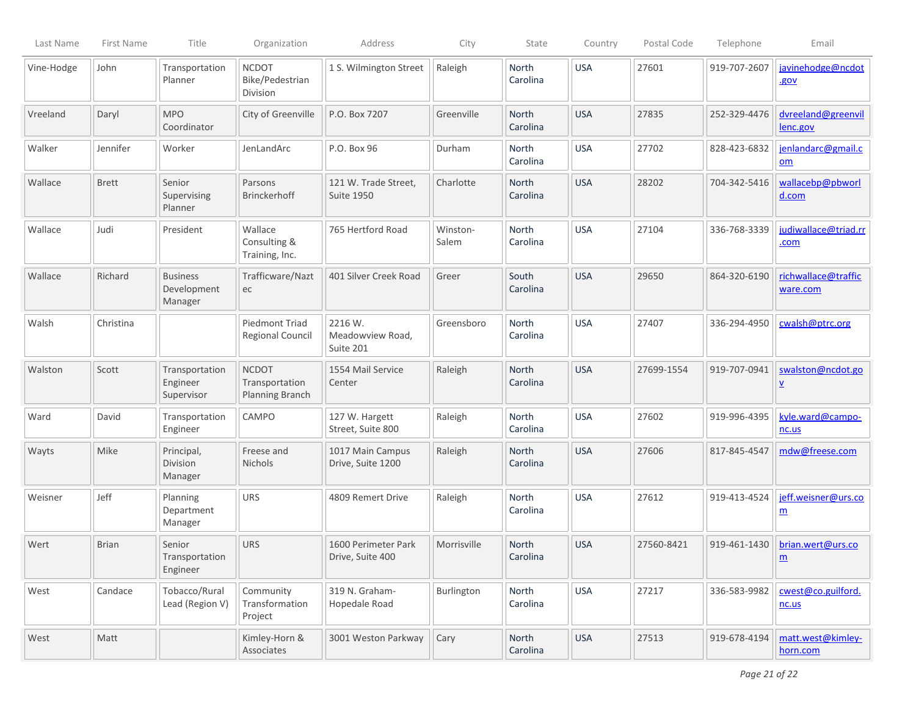| Last Name  | First Name   | Title                                                     | Organization                                             | Address                                   | City              | State                    | Country    | Postal Code | Telephone    | Email                                         |
|------------|--------------|-----------------------------------------------------------|----------------------------------------------------------|-------------------------------------------|-------------------|--------------------------|------------|-------------|--------------|-----------------------------------------------|
| Vine-Hodge | John         | Transportation<br>Planner                                 | <b>NCDOT</b><br>Bike/Pedestrian<br>Division              | 1 S. Wilmington Street                    | Raleigh           | North<br>Carolina        | <b>USA</b> | 27601       | 919-707-2607 | javinehodge@ncdot<br>.gov                     |
| Vreeland   | Daryl        | <b>MPO</b><br>Coordinator                                 | City of Greenville                                       | P.O. Box 7207                             | Greenville        | <b>North</b><br>Carolina | <b>USA</b> | 27835       | 252-329-4476 | dvreeland@greenvil<br>lenc.gov                |
| Walker     | Jennifer     | Worker                                                    | JenLandArc                                               | P.O. Box 96                               | Durham            | North<br>Carolina        | <b>USA</b> | 27702       | 828-423-6832 | jenlandarc@gmail.c<br>om                      |
| Wallace    | <b>Brett</b> | Senior<br>Supervising<br>Planner                          | Parsons<br><b>Brinckerhoff</b>                           | 121 W. Trade Street,<br><b>Suite 1950</b> | Charlotte         | North<br>Carolina        | <b>USA</b> | 28202       | 704-342-5416 | wallacebp@pbworl<br>d.com                     |
| Wallace    | Judi         | President                                                 | Wallace<br>Consulting &<br>Training, Inc.                | 765 Hertford Road                         | Winston-<br>Salem | North<br>Carolina        | <b>USA</b> | 27104       | 336-768-3339 | judiwallace@triad.rr<br>.com                  |
| Wallace    | Richard      | <b>Business</b><br>Development<br>Manager                 | Trafficware/Nazt<br>ec                                   | 401 Silver Creek Road                     | Greer             | South<br>Carolina        | <b>USA</b> | 29650       | 864-320-6190 | richwallace@traffic<br>ware.com               |
| Walsh      | Christina    |                                                           | Piedmont Triad<br>Regional Council                       | 2216 W.<br>Meadowview Road,<br>Suite 201  | Greensboro        | <b>North</b><br>Carolina | <b>USA</b> | 27407       | 336-294-4950 | cwalsh@ptrc.org                               |
| Walston    | Scott        | Transportation<br>Engineer<br>Supervisor                  | <b>NCDOT</b><br>Transportation<br><b>Planning Branch</b> | 1554 Mail Service<br>Center               | Raleigh           | North<br>Carolina        | <b>USA</b> | 27699-1554  | 919-707-0941 | swalston@ncdot.go<br>$\underline{\mathsf{v}}$ |
| Ward       | David        | Transportation<br>Engineer                                | CAMPO                                                    | 127 W. Hargett<br>Street, Suite 800       | Raleigh           | North<br>Carolina        | <b>USA</b> | 27602       | 919-996-4395 | kyle.ward@campo-<br>nc.us                     |
| Wayts      | Mike         | Principal,<br>Division<br>Manager                         | Freese and<br><b>Nichols</b>                             | 1017 Main Campus<br>Drive, Suite 1200     | Raleigh           | <b>North</b><br>Carolina | <b>USA</b> | 27606       | 817-845-4547 | mdw@freese.com                                |
| Weisner    | Jeff         | Planning<br>Department<br>Manager                         | URS                                                      | 4809 Remert Drive                         | Raleigh           | <b>North</b><br>Carolina | <b>USA</b> | 27612       | 919-413-4524 | jeff.weisner@urs.co<br>$\underline{m}$        |
| Wert       | <b>Brian</b> | Senior<br><i><u><b>I</b>ransportation</u></i><br>Engineer | <b>URS</b>                                               | 1600 Perimeter Park<br>Drive, Suite 400   | Morrisville       | <b>North</b><br>Carolina | <b>USA</b> | 27560-8421  | 919-461-1430 | brian.wert@urs.co<br>$\underline{\mathbf{m}}$ |
| West       | Candace      | Tobacco/Rural<br>Lead (Region V)                          | Community<br>Transformation<br>Project                   | 319 N. Graham-<br>Hopedale Road           | Burlington        | North<br>Carolina        | <b>USA</b> | 27217       | 336-583-9982 | cwest@co.guilford.<br>nc.us                   |
| West       | Matt         |                                                           | Kimley-Horn &<br>Associates                              | 3001 Weston Parkway                       | Cary              | North<br>Carolina        | <b>USA</b> | 27513       | 919-678-4194 | matt.west@kimley-<br>horn.com                 |